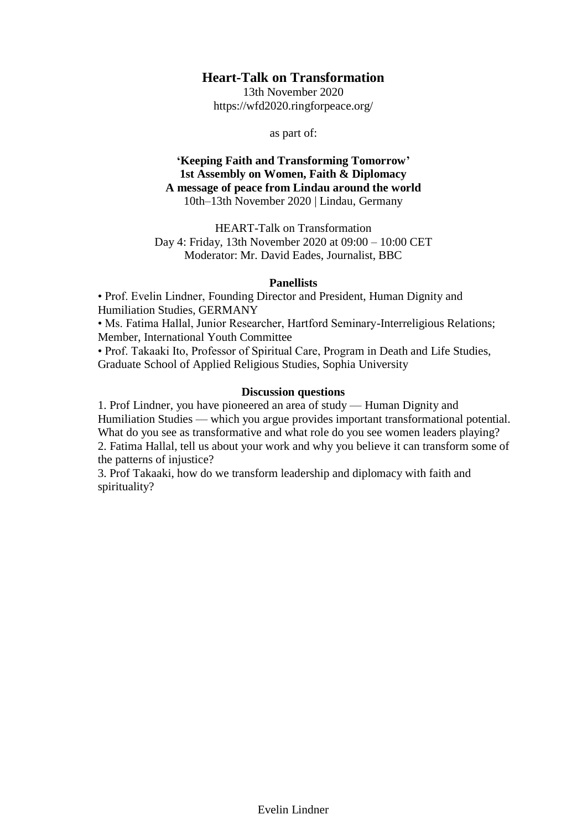# **Heart-Talk on Transformation**

13th November 2020 https://wfd2020.ringforpeace.org/

as part of:

# **'Keeping Faith and Transforming Tomorrow' 1st Assembly on Women, Faith & Diplomacy A message of peace from Lindau around the world** 10th–13th November 2020 | Lindau, Germany

HEART-Talk on Transformation Day 4: Friday, 13th November 2020 at 09:00 – 10:00 CET Moderator: Mr. David Eades, Journalist, BBC

# **Panellists**

• Prof. Evelin Lindner, Founding Director and President, Human Dignity and Humiliation Studies, GERMANY

• Ms. Fatima Hallal, Junior Researcher, Hartford Seminary-Interreligious Relations; Member, International Youth Committee

• Prof. Takaaki Ito, Professor of Spiritual Care, Program in Death and Life Studies, Graduate School of Applied Religious Studies, Sophia University

# **Discussion questions**

1. Prof Lindner, you have pioneered an area of study — Human Dignity and Humiliation Studies — which you argue provides important transformational potential. What do you see as transformative and what role do you see women leaders playing? 2. Fatima Hallal, tell us about your work and why you believe it can transform some of the patterns of injustice?

3. Prof Takaaki, how do we transform leadership and diplomacy with faith and spirituality?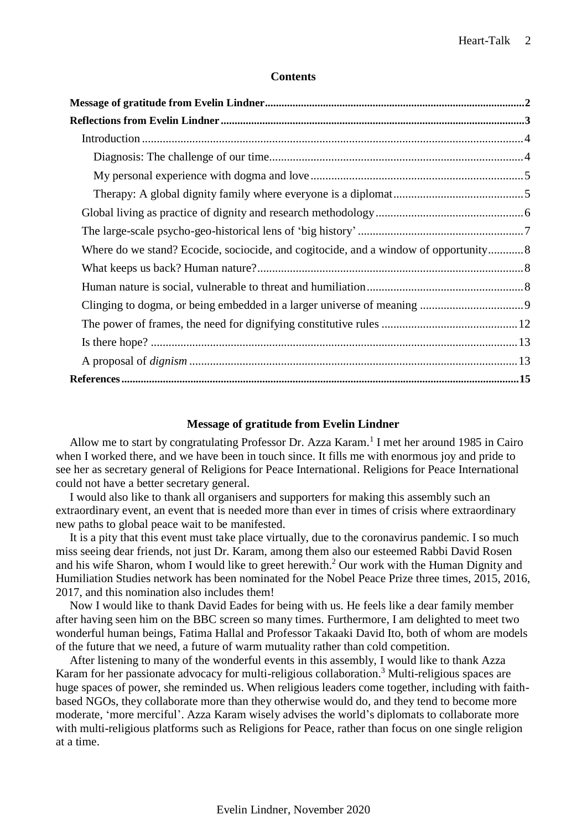# **Contents**

| Where do we stand? Ecocide, sociocide, and cogitocide, and a window of opportunity 8 |  |
|--------------------------------------------------------------------------------------|--|
|                                                                                      |  |
|                                                                                      |  |
|                                                                                      |  |
|                                                                                      |  |
|                                                                                      |  |
|                                                                                      |  |
|                                                                                      |  |

# **Message of gratitude from Evelin Lindner**

<span id="page-1-0"></span>Allow me to start by congratulating Professor Dr. Azza Karam.<sup>1</sup> I met her around 1985 in Cairo when I worked there, and we have been in touch since. It fills me with enormous joy and pride to see her as secretary general of Religions for Peace International. Religions for Peace International could not have a better secretary general.

I would also like to thank all organisers and supporters for making this assembly such an extraordinary event, an event that is needed more than ever in times of crisis where extraordinary new paths to global peace wait to be manifested.

It is a pity that this event must take place virtually, due to the coronavirus pandemic. I so much miss seeing dear friends, not just Dr. Karam, among them also our esteemed Rabbi David Rosen and his wife Sharon, whom I would like to greet herewith. <sup>2</sup> Our work with the Human Dignity and Humiliation Studies network has been nominated for the Nobel Peace Prize three times, 2015, 2016, 2017, and this nomination also includes them!

Now I would like to thank David Eades for being with us. He feels like a dear family member after having seen him on the BBC screen so many times. Furthermore, I am delighted to meet two wonderful human beings, Fatima Hallal and Professor Takaaki David Ito, both of whom are models of the future that we need, a future of warm mutuality rather than cold competition.

After listening to many of the wonderful events in this assembly, I would like to thank Azza Karam for her passionate advocacy for multi-religious collaboration.<sup>3</sup> Multi-religious spaces are huge spaces of power, she reminded us. When religious leaders come together, including with faithbased NGOs, they collaborate more than they otherwise would do, and they tend to become more moderate, 'more merciful'. Azza Karam wisely advises the world's diplomats to collaborate more with multi-religious platforms such as Religions for Peace, rather than focus on one single religion at a time.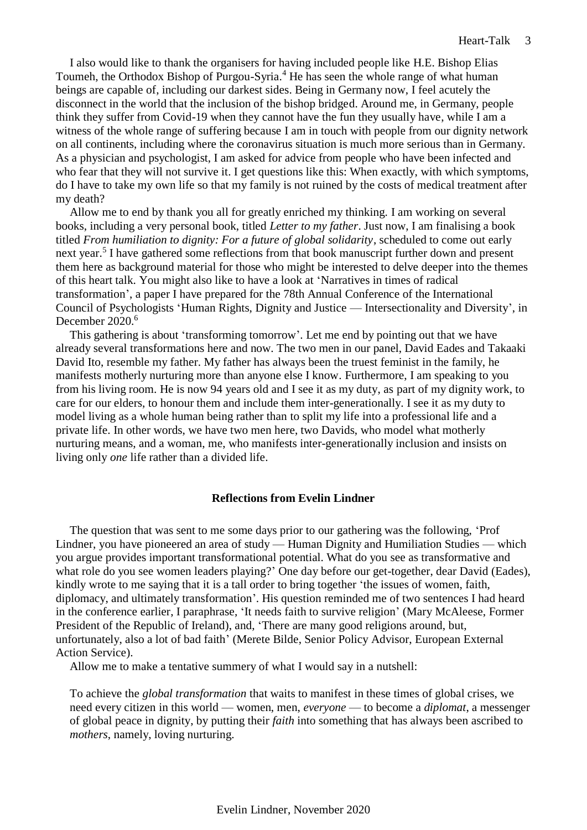I also would like to thank the organisers for having included people like H.E. Bishop Elias Toumeh, the Orthodox Bishop of Purgou-Syria.<sup>4</sup> He has seen the whole range of what human beings are capable of, including our darkest sides. Being in Germany now, I feel acutely the disconnect in the world that the inclusion of the bishop bridged. Around me, in Germany, people think they suffer from Covid-19 when they cannot have the fun they usually have, while I am a witness of the whole range of suffering because I am in touch with people from our dignity network on all continents, including where the coronavirus situation is much more serious than in Germany. As a physician and psychologist, I am asked for advice from people who have been infected and who fear that they will not survive it. I get questions like this: When exactly, with which symptoms, do I have to take my own life so that my family is not ruined by the costs of medical treatment after my death?

Allow me to end by thank you all for greatly enriched my thinking. I am working on several books, including a very personal book, titled *Letter to my father*. Just now, I am finalising a book titled *From humiliation to dignity: For a future of global solidarity*, scheduled to come out early next year.<sup>5</sup> I have gathered some reflections from that book manuscript further down and present them here as background material for those who might be interested to delve deeper into the themes of this heart talk. You might also like to have a look at 'Narratives in times of radical transformation', a paper I have prepared for the 78th Annual Conference of the International Council of Psychologists 'Human Rights, Dignity and Justice — Intersectionality and Diversity', in December 2020.<sup>6</sup>

This gathering is about 'transforming tomorrow'. Let me end by pointing out that we have already several transformations here and now. The two men in our panel, David Eades and Takaaki David Ito, resemble my father. My father has always been the truest feminist in the family, he manifests motherly nurturing more than anyone else I know. Furthermore, I am speaking to you from his living room. He is now 94 years old and I see it as my duty, as part of my dignity work, to care for our elders, to honour them and include them inter-generationally. I see it as my duty to model living as a whole human being rather than to split my life into a professional life and a private life. In other words, we have two men here, two Davids, who model what motherly nurturing means, and a woman, me, who manifests inter-generationally inclusion and insists on living only *one* life rather than a divided life.

### **Reflections from Evelin Lindner**

<span id="page-2-0"></span>The question that was sent to me some days prior to our gathering was the following, 'Prof Lindner, you have pioneered an area of study — Human Dignity and Humiliation Studies — which you argue provides important transformational potential. What do you see as transformative and what role do you see women leaders playing?' One day before our get-together, dear David (Eades), kindly wrote to me saying that it is a tall order to bring together 'the issues of women, faith, diplomacy, and ultimately transformation'. His question reminded me of two sentences I had heard in the conference earlier, I paraphrase, 'It needs faith to survive religion' (Mary McAleese, Former President of the Republic of Ireland), and, 'There are many good religions around, but, unfortunately, also a lot of bad faith' (Merete Bilde, Senior Policy Advisor, European External Action Service).

Allow me to make a tentative summery of what I would say in a nutshell:

To achieve the *global transformation* that waits to manifest in these times of global crises, we need every citizen in this world — women, men, *everyone* — to become a *diplomat*, a messenger of global peace in dignity, by putting their *faith* into something that has always been ascribed to *mothers*, namely, loving nurturing.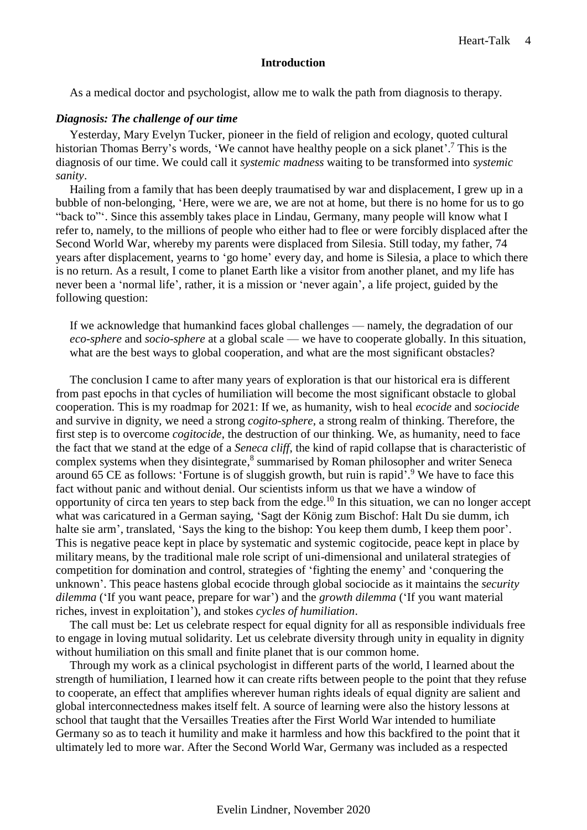# **Introduction**

<span id="page-3-0"></span>As a medical doctor and psychologist, allow me to walk the path from diagnosis to therapy.

# <span id="page-3-1"></span>*Diagnosis: The challenge of our time*

Yesterday, Mary Evelyn Tucker, pioneer in the field of religion and ecology, quoted cultural historian Thomas Berry's words, 'We cannot have healthy people on a sick planet'.<sup>7</sup> This is the diagnosis of our time. We could call it *systemic madness* waiting to be transformed into *systemic sanity*.

Hailing from a family that has been deeply traumatised by war and displacement, I grew up in a bubble of non-belonging, 'Here, were we are, we are not at home, but there is no home for us to go "back to"'. Since this assembly takes place in Lindau, Germany, many people will know what I refer to, namely, to the millions of people who either had to flee or were forcibly displaced after the Second World War, whereby my parents were displaced from Silesia. Still today, my father, 74 years after displacement, yearns to 'go home' every day, and home is Silesia, a place to which there is no return. As a result, I come to planet Earth like a visitor from another planet, and my life has never been a 'normal life', rather, it is a mission or 'never again', a life project, guided by the following question:

If we acknowledge that humankind faces global challenges — namely, the degradation of our *eco-sphere* and *socio-sphere* at a global scale — we have to cooperate globally. In this situation, what are the best ways to global cooperation, and what are the most significant obstacles?

The conclusion I came to after many years of exploration is that our historical era is different from past epochs in that cycles of humiliation will become the most significant obstacle to global cooperation. This is my roadmap for 2021: If we, as humanity, wish to heal *ecocide* and *sociocide* and survive in dignity, we need a strong *cogito-sphere*, a strong realm of thinking. Therefore, the first step is to overcome *cogitocide*, the destruction of our thinking. We, as humanity, need to face the fact that we stand at the edge of a *Seneca cliff*, the kind of rapid collapse that is characteristic of complex systems when they disintegrate,<sup>8</sup> summarised by Roman philosopher and writer Seneca around 65 CE as follows: 'Fortune is of sluggish growth, but ruin is rapid'.<sup>9</sup> We have to face this fact without panic and without denial. Our scientists inform us that we have a window of opportunity of circa ten years to step back from the edge.<sup>10</sup> In this situation, we can no longer accept what was caricatured in a German saying, 'Sagt der König zum Bischof: Halt Du sie dumm, ich halte sie arm', translated, 'Says the king to the bishop: You keep them dumb, I keep them poor'. This is negative peace kept in place by systematic and systemic cogitocide, peace kept in place by military means, by the traditional male role script of uni-dimensional and unilateral strategies of competition for domination and control, strategies of 'fighting the enemy' and 'conquering the unknown'. This peace hastens global ecocide through global sociocide as it maintains the *security dilemma* ('If you want peace, prepare for war') and the *growth dilemma* ('If you want material riches, invest in exploitation'), and stokes *cycles of humiliation*.

The call must be: Let us celebrate respect for equal dignity for all as responsible individuals free to engage in loving mutual solidarity. Let us celebrate diversity through unity in equality in dignity without humiliation on this small and finite planet that is our common home.

Through my work as a clinical psychologist in different parts of the world, I learned about the strength of humiliation, I learned how it can create rifts between people to the point that they refuse to cooperate, an effect that amplifies wherever human rights ideals of equal dignity are salient and global interconnectedness makes itself felt. A source of learning were also the history lessons at school that taught that the Versailles Treaties after the First World War intended to humiliate Germany so as to teach it humility and make it harmless and how this backfired to the point that it ultimately led to more war. After the Second World War, Germany was included as a respected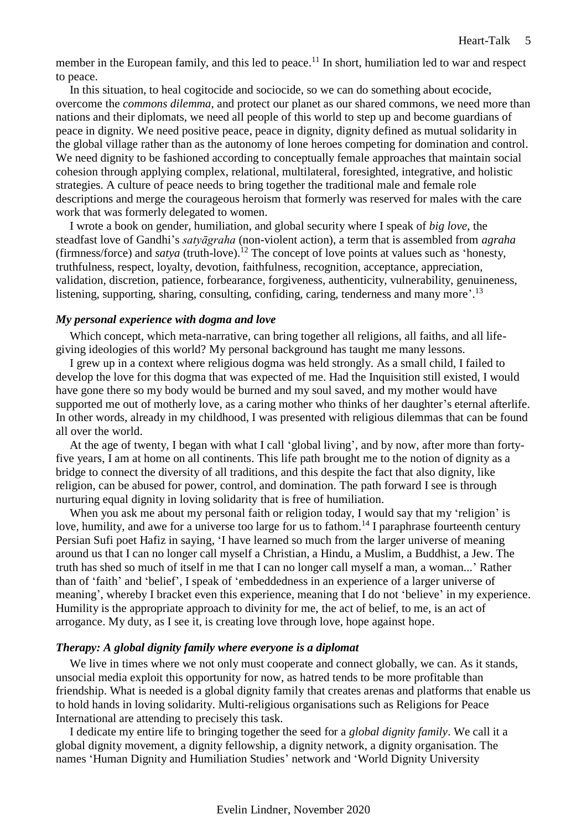member in the European family, and this led to peace.<sup>11</sup> In short, humiliation led to war and respect to peace.

In this situation, to heal cogitocide and sociocide, so we can do something about ecocide, overcome the *commons dilemma*, and protect our planet as our shared commons, we need more than nations and their diplomats, we need all people of this world to step up and become guardians of peace in dignity. We need positive peace, peace in dignity, dignity defined as mutual solidarity in the global village rather than as the autonomy of lone heroes competing for domination and control. We need dignity to be fashioned according to conceptually female approaches that maintain social cohesion through applying complex, relational, multilateral, foresighted, integrative, and holistic strategies. A culture of peace needs to bring together the traditional male and female role descriptions and merge the courageous heroism that formerly was reserved for males with the care work that was formerly delegated to women.

I wrote a book on gender, humiliation, and global security where I speak of *big love*, the steadfast love of Gandhi's *satyāgraha* (non-violent action), a term that is assembled from *agraha* (firmness/force) and *satya* (truth-love).<sup>12</sup> The concept of love points at values such as 'honesty, truthfulness, respect, loyalty, devotion, faithfulness, recognition, acceptance, appreciation, validation, discretion, patience, forbearance, forgiveness, authenticity, vulnerability, genuineness, listening, supporting, sharing, consulting, confiding, caring, tenderness and many more'.<sup>13</sup>

### <span id="page-4-0"></span>*My personal experience with dogma and love*

Which concept, which meta-narrative, can bring together all religions, all faiths, and all lifegiving ideologies of this world? My personal background has taught me many lessons.

I grew up in a context where religious dogma was held strongly. As a small child, I failed to develop the love for this dogma that was expected of me. Had the Inquisition still existed, I would have gone there so my body would be burned and my soul saved, and my mother would have supported me out of motherly love, as a caring mother who thinks of her daughter's eternal afterlife. In other words, already in my childhood, I was presented with religious dilemmas that can be found all over the world.

At the age of twenty, I began with what I call 'global living', and by now, after more than fortyfive years, I am at home on all continents. This life path brought me to the notion of dignity as a bridge to connect the diversity of all traditions, and this despite the fact that also dignity, like religion, can be abused for power, control, and domination. The path forward I see is through nurturing equal dignity in loving solidarity that is free of humiliation.

When you ask me about my personal faith or religion today. I would say that my 'religion' is love, humility, and awe for a universe too large for us to fathom.<sup>14</sup> I paraphrase fourteenth century Persian Sufi poet Hafiz in saying, 'I have learned so much from the larger universe of meaning around us that I can no longer call myself a Christian, a Hindu, a Muslim, a Buddhist, a Jew. The truth has shed so much of itself in me that I can no longer call myself a man, a woman...' Rather than of 'faith' and 'belief', I speak of 'embeddedness in an experience of a larger universe of meaning', whereby I bracket even this experience, meaning that I do not 'believe' in my experience. Humility is the appropriate approach to divinity for me, the act of belief, to me, is an act of arrogance. My duty, as I see it, is creating love through love, hope against hope.

### <span id="page-4-1"></span>*Therapy: A global dignity family where everyone is a diplomat*

We live in times where we not only must cooperate and connect globally, we can. As it stands, unsocial media exploit this opportunity for now, as hatred tends to be more profitable than friendship. What is needed is a global dignity family that creates arenas and platforms that enable us to hold hands in loving solidarity. Multi-religious organisations such as Religions for Peace International are attending to precisely this task.

I dedicate my entire life to bringing together the seed for a *global dignity family*. We call it a global dignity movement, a dignity fellowship, a dignity network, a dignity organisation. The names 'Human Dignity and Humiliation Studies' network and 'World Dignity University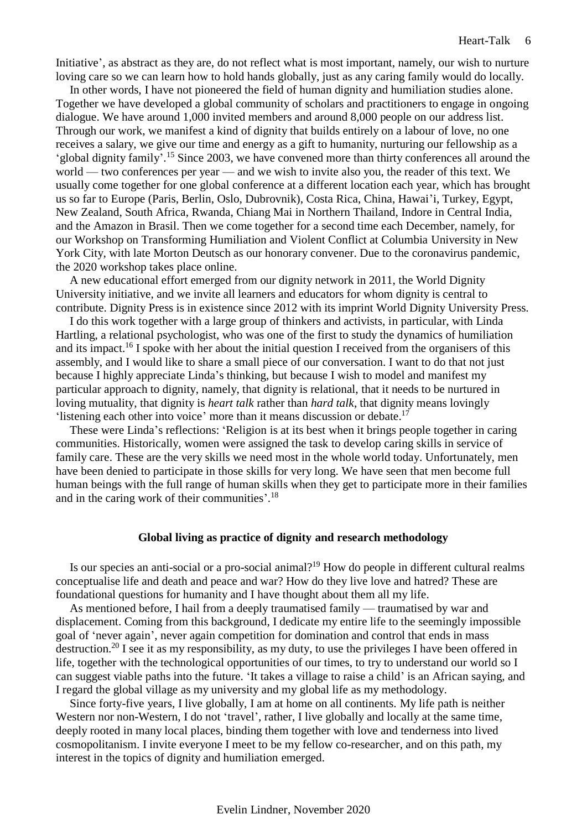Initiative', as abstract as they are, do not reflect what is most important, namely, our wish to nurture loving care so we can learn how to hold hands globally, just as any caring family would do locally.

In other words, I have not pioneered the field of human dignity and humiliation studies alone. Together we have developed a global community of scholars and practitioners to engage in ongoing dialogue. We have around 1,000 invited members and around 8,000 people on our address list. Through our work, we manifest a kind of dignity that builds entirely on a labour of love, no one receives a salary, we give our time and energy as a gift to humanity, nurturing our fellowship as a 'global dignity family'. <sup>15</sup> Since 2003, we have convened more than thirty conferences all around the world — two conferences per year — and we wish to invite also you, the reader of this text. We usually come together for one global conference at a different location each year, which has brought us so far to Europe (Paris, Berlin, Oslo, Dubrovnik), Costa Rica, China, Hawai'i, Turkey, Egypt, New Zealand, South Africa, Rwanda, Chiang Mai in Northern Thailand, Indore in Central India, and the Amazon in Brasil. Then we come together for a second time each December, namely, for our Workshop on Transforming Humiliation and Violent Conflict at Columbia University in New York City, with late Morton Deutsch as our honorary convener. Due to the coronavirus pandemic, the 2020 workshop takes place online.

A new educational effort emerged from our dignity network in 2011, the World Dignity University initiative, and we invite all learners and educators for whom dignity is central to contribute. Dignity Press is in existence since 2012 with its imprint World Dignity University Press.

I do this work together with a large group of thinkers and activists, in particular, with Linda Hartling, a relational psychologist, who was one of the first to study the dynamics of humiliation and its impact.<sup>16</sup> I spoke with her about the initial question I received from the organisers of this assembly, and I would like to share a small piece of our conversation. I want to do that not just because I highly appreciate Linda's thinking, but because I wish to model and manifest my particular approach to dignity, namely, that dignity is relational, that it needs to be nurtured in loving mutuality, that dignity is *heart talk* rather than *hard talk*, that dignity means lovingly 'listening each other into voice' more than it means discussion or debate.<sup>17</sup>

These were Linda's reflections: 'Religion is at its best when it brings people together in caring communities. Historically, women were assigned the task to develop caring skills in service of family care. These are the very skills we need most in the whole world today. Unfortunately, men have been denied to participate in those skills for very long. We have seen that men become full human beings with the full range of human skills when they get to participate more in their families and in the caring work of their communities'.<sup>18</sup>

### **Global living as practice of dignity and research methodology**

<span id="page-5-0"></span>Is our species an anti-social or a pro-social animal?<sup>19</sup> How do people in different cultural realms conceptualise life and death and peace and war? How do they live love and hatred? These are foundational questions for humanity and I have thought about them all my life.

As mentioned before, I hail from a deeply traumatised family — traumatised by war and displacement. Coming from this background, I dedicate my entire life to the seemingly impossible goal of 'never again', never again competition for domination and control that ends in mass destruction.<sup>20</sup> I see it as my responsibility, as my duty, to use the privileges I have been offered in life, together with the technological opportunities of our times, to try to understand our world so I can suggest viable paths into the future. 'It takes a village to raise a child' is an African saying, and I regard the global village as my university and my global life as my methodology.

Since forty-five years, I live globally, I am at home on all continents. My life path is neither Western nor non-Western, I do not 'travel', rather, I live globally and locally at the same time, deeply rooted in many local places, binding them together with love and tenderness into lived cosmopolitanism. I invite everyone I meet to be my fellow co-researcher, and on this path, my interest in the topics of dignity and humiliation emerged.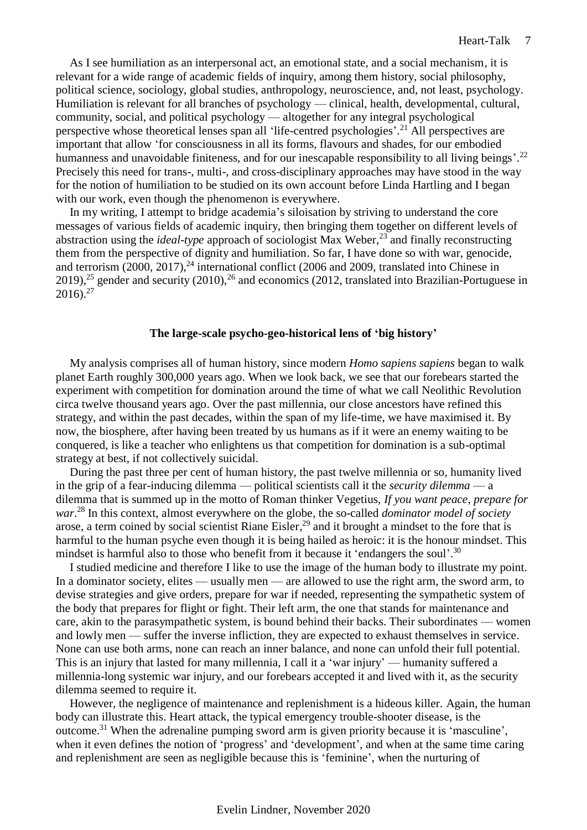As I see humiliation as an interpersonal act, an emotional state, and a social mechanism, it is relevant for a wide range of academic fields of inquiry, among them history, social philosophy, political science, sociology, global studies, anthropology, neuroscience, and, not least, psychology. Humiliation is relevant for all branches of psychology — clinical, health, developmental, cultural, community, social, and political psychology — altogether for any integral psychological perspective whose theoretical lenses span all 'life-centred psychologies'. <sup>21</sup> All perspectives are important that allow 'for consciousness in all its forms, flavours and shades, for our embodied humanness and unavoidable finiteness, and for our inescapable responsibility to all living beings'.<sup>22</sup> Precisely this need for trans-, multi-, and cross-disciplinary approaches may have stood in the way for the notion of humiliation to be studied on its own account before Linda Hartling and I began with our work, even though the phenomenon is everywhere.

In my writing, I attempt to bridge academia's siloisation by striving to understand the core messages of various fields of academic inquiry, then bringing them together on different levels of abstraction using the *ideal-type* approach of sociologist Max Weber,<sup>23</sup> and finally reconstructing them from the perspective of dignity and humiliation. So far, I have done so with war, genocide, and terrorism  $(2000, 2017)$ ,<sup>24</sup> international conflict  $(2006 \text{ and } 2009)$ , translated into Chinese in 2019),<sup>25</sup> gender and security (2010),<sup>26</sup> and economics (2012, translated into Brazilian-Portuguese in  $2016$ .<sup>27</sup>

#### **The large-scale psycho-geo-historical lens of 'big history'**

<span id="page-6-0"></span>My analysis comprises all of human history, since modern *Homo sapiens sapiens* began to walk planet Earth roughly 300,000 years ago. When we look back, we see that our forebears started the experiment with competition for domination around the time of what we call Neolithic Revolution circa twelve thousand years ago. Over the past millennia, our close ancestors have refined this strategy, and within the past decades, within the span of my life-time, we have maximised it. By now, the biosphere, after having been treated by us humans as if it were an enemy waiting to be conquered, is like a teacher who enlightens us that competition for domination is a sub-optimal strategy at best, if not collectively suicidal.

During the past three per cent of human history, the past twelve millennia or so, humanity lived in the grip of a fear-inducing dilemma — political scientists call it the *security dilemma* — a dilemma that is summed up in the motto of Roman thinker Vegetius, *If you want peace, prepare for war*. <sup>28</sup> In this context, almost everywhere on the globe, the so-called *dominator model of society* arose, a term coined by social scientist Riane Eisler,<sup>29</sup> and it brought a mindset to the fore that is harmful to the human psyche even though it is being hailed as heroic: it is the honour mindset. This mindset is harmful also to those who benefit from it because it 'endangers the soul'.<sup>30</sup>

I studied medicine and therefore I like to use the image of the human body to illustrate my point. In a dominator society, elites — usually men — are allowed to use the right arm, the sword arm, to devise strategies and give orders, prepare for war if needed, representing the sympathetic system of the body that prepares for flight or fight. Their left arm, the one that stands for maintenance and care, akin to the parasympathetic system, is bound behind their backs. Their subordinates — women and lowly men — suffer the inverse infliction, they are expected to exhaust themselves in service. None can use both arms, none can reach an inner balance, and none can unfold their full potential. This is an injury that lasted for many millennia, I call it a 'war injury' — humanity suffered a millennia-long systemic war injury, and our forebears accepted it and lived with it, as the security dilemma seemed to require it.

However, the negligence of maintenance and replenishment is a hideous killer. Again, the human body can illustrate this. Heart attack, the typical emergency trouble-shooter disease, is the outcome.<sup>31</sup> When the adrenaline pumping sword arm is given priority because it is 'masculine', when it even defines the notion of 'progress' and 'development', and when at the same time caring and replenishment are seen as negligible because this is 'feminine', when the nurturing of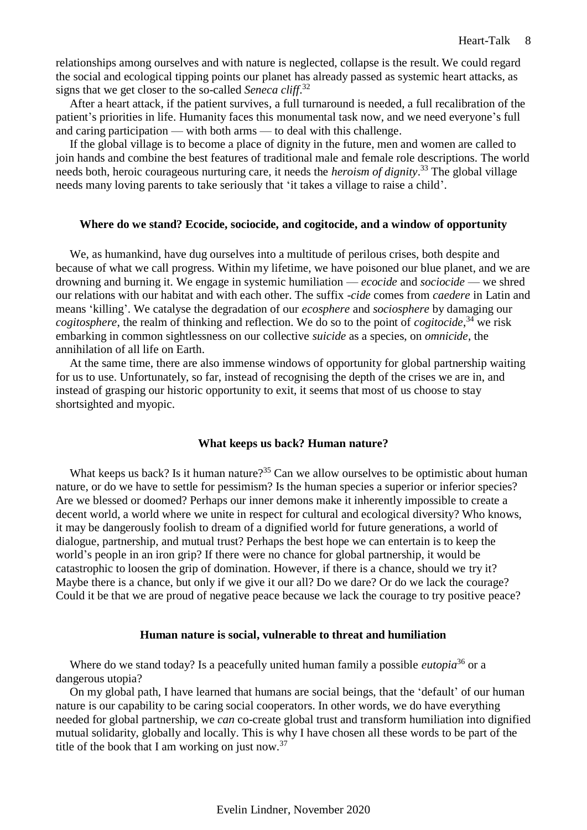relationships among ourselves and with nature is neglected, collapse is the result. We could regard the social and ecological tipping points our planet has already passed as systemic heart attacks, as signs that we get closer to the so-called *Seneca cliff*. 32

After a heart attack, if the patient survives, a full turnaround is needed, a full recalibration of the patient's priorities in life. Humanity faces this monumental task now, and we need everyone's full and caring participation — with both arms — to deal with this challenge.

If the global village is to become a place of dignity in the future, men and women are called to join hands and combine the best features of traditional male and female role descriptions. The world needs both, heroic courageous nurturing care, it needs the *heroism of dignity*. <sup>33</sup> The global village needs many loving parents to take seriously that 'it takes a village to raise a child'.

#### <span id="page-7-0"></span>**Where do we stand? Ecocide, sociocide, and cogitocide, and a window of opportunity**

We, as humankind, have dug ourselves into a multitude of perilous crises, both despite and because of what we call progress. Within my lifetime, we have poisoned our blue planet, and we are drowning and burning it. We engage in systemic humiliation — *ecocide* and *sociocide* — we shred our relations with our habitat and with each other. The suffix -*cide* comes from *caedere* in Latin and means 'killing'. We catalyse the degradation of our *ecosphere* and *sociosphere* by damaging our *cogitosphere*, the realm of thinking and reflection. We do so to the point of *cogitocide*, <sup>34</sup> we risk embarking in common sightlessness on our collective *suicide* as a species, on *omnicide*, the annihilation of all life on Earth.

At the same time, there are also immense windows of opportunity for global partnership waiting for us to use. Unfortunately, so far, instead of recognising the depth of the crises we are in, and instead of grasping our historic opportunity to exit, it seems that most of us choose to stay shortsighted and myopic.

# **What keeps us back? Human nature?**

<span id="page-7-1"></span>What keeps us back? Is it human nature?<sup>35</sup> Can we allow ourselves to be optimistic about human nature, or do we have to settle for pessimism? Is the human species a superior or inferior species? Are we blessed or doomed? Perhaps our inner demons make it inherently impossible to create a decent world, a world where we unite in respect for cultural and ecological diversity? Who knows, it may be dangerously foolish to dream of a dignified world for future generations, a world of dialogue, partnership, and mutual trust? Perhaps the best hope we can entertain is to keep the world's people in an iron grip? If there were no chance for global partnership, it would be catastrophic to loosen the grip of domination. However, if there is a chance, should we try it? Maybe there is a chance, but only if we give it our all? Do we dare? Or do we lack the courage? Could it be that we are proud of negative peace because we lack the courage to try positive peace?

#### **Human nature is social, vulnerable to threat and humiliation**

<span id="page-7-2"></span>Where do we stand today? Is a peacefully united human family a possible *eutopia*<sup>36</sup> or a dangerous utopia?

On my global path, I have learned that humans are social beings, that the 'default' of our human nature is our capability to be caring social cooperators. In other words, we do have everything needed for global partnership, we *can* co-create global trust and transform humiliation into dignified mutual solidarity, globally and locally. This is why I have chosen all these words to be part of the title of the book that I am working on just now.<sup>37</sup>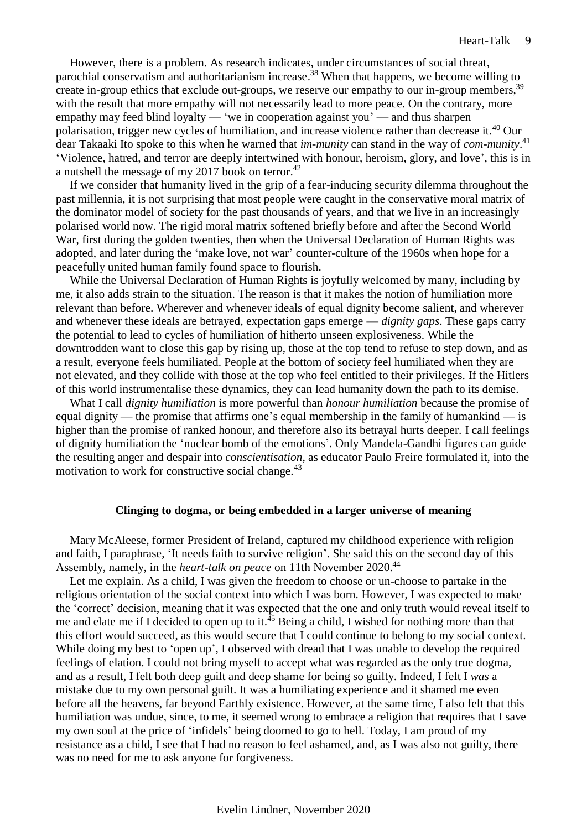However, there is a problem. As research indicates, under circumstances of social threat, parochial conservatism and authoritarianism increase.<sup>38</sup> When that happens, we become willing to create in-group ethics that exclude out-groups, we reserve our empathy to our in-group members,<sup>39</sup> with the result that more empathy will not necessarily lead to more peace. On the contrary, more empathy may feed blind loyalty — 'we in cooperation against you' — and thus sharpen polarisation, trigger new cycles of humiliation, and increase violence rather than decrease it.<sup>40</sup> Our dear Takaaki Ito spoke to this when he warned that *im-munity* can stand in the way of *com-munity*. 41 'Violence, hatred, and terror are deeply intertwined with honour, heroism, glory, and love', this is in a nutshell the message of my 2017 book on terror.<sup>42</sup>

If we consider that humanity lived in the grip of a fear-inducing security dilemma throughout the past millennia, it is not surprising that most people were caught in the conservative moral matrix of the dominator model of society for the past thousands of years, and that we live in an increasingly polarised world now. The rigid moral matrix softened briefly before and after the Second World War, first during the golden twenties, then when the Universal Declaration of Human Rights was adopted, and later during the 'make love, not war' counter-culture of the 1960s when hope for a peacefully united human family found space to flourish.

While the Universal Declaration of Human Rights is joyfully welcomed by many, including by me, it also adds strain to the situation. The reason is that it makes the notion of humiliation more relevant than before. Wherever and whenever ideals of equal dignity become salient, and wherever and whenever these ideals are betrayed, expectation gaps emerge — *dignity gaps*. These gaps carry the potential to lead to cycles of humiliation of hitherto unseen explosiveness. While the downtrodden want to close this gap by rising up, those at the top tend to refuse to step down, and as a result, everyone feels humiliated. People at the bottom of society feel humiliated when they are not elevated, and they collide with those at the top who feel entitled to their privileges. If the Hitlers of this world instrumentalise these dynamics, they can lead humanity down the path to its demise.

What I call *dignity humiliation* is more powerful than *honour humiliation* because the promise of equal dignity — the promise that affirms one's equal membership in the family of humankind — is higher than the promise of ranked honour, and therefore also its betrayal hurts deeper. I call feelings of dignity humiliation the 'nuclear bomb of the emotions'. Only Mandela-Gandhi figures can guide the resulting anger and despair into *conscientisation*, as educator Paulo Freire formulated it, into the motivation to work for constructive social change.<sup>43</sup>

#### **Clinging to dogma, or being embedded in a larger universe of meaning**

<span id="page-8-0"></span>Mary McAleese, former President of Ireland, captured my childhood experience with religion and faith, I paraphrase, 'It needs faith to survive religion'. She said this on the second day of this Assembly, namely, in the *heart-talk on peace* on 11th November 2020. 44

Let me explain. As a child, I was given the freedom to choose or un-choose to partake in the religious orientation of the social context into which I was born. However, I was expected to make the 'correct' decision, meaning that it was expected that the one and only truth would reveal itself to me and elate me if I decided to open up to it.<sup>45</sup> Being a child, I wished for nothing more than that this effort would succeed, as this would secure that I could continue to belong to my social context. While doing my best to 'open up', I observed with dread that I was unable to develop the required feelings of elation. I could not bring myself to accept what was regarded as the only true dogma, and as a result, I felt both deep guilt and deep shame for being so guilty. Indeed, I felt I *was* a mistake due to my own personal guilt. It was a humiliating experience and it shamed me even before all the heavens, far beyond Earthly existence. However, at the same time, I also felt that this humiliation was undue, since, to me, it seemed wrong to embrace a religion that requires that I save my own soul at the price of 'infidels' being doomed to go to hell. Today, I am proud of my resistance as a child, I see that I had no reason to feel ashamed, and, as I was also not guilty, there was no need for me to ask anyone for forgiveness.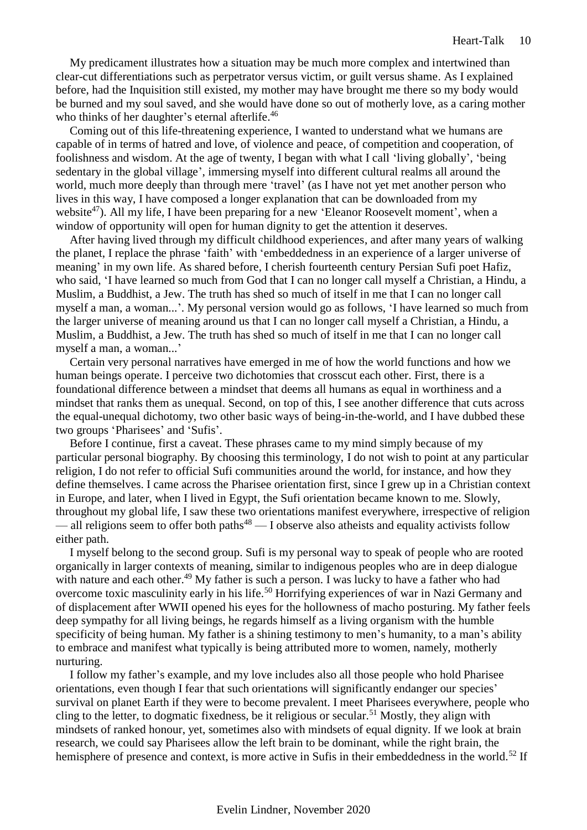My predicament illustrates how a situation may be much more complex and intertwined than clear-cut differentiations such as perpetrator versus victim, or guilt versus shame. As I explained before, had the Inquisition still existed, my mother may have brought me there so my body would be burned and my soul saved, and she would have done so out of motherly love, as a caring mother who thinks of her daughter's eternal afterlife.<sup>46</sup>

Coming out of this life-threatening experience, I wanted to understand what we humans are capable of in terms of hatred and love, of violence and peace, of competition and cooperation, of foolishness and wisdom. At the age of twenty, I began with what I call 'living globally', 'being sedentary in the global village', immersing myself into different cultural realms all around the world, much more deeply than through mere 'travel' (as I have not yet met another person who lives in this way, I have composed a longer explanation that can be downloaded from my website<sup>47</sup>). All my life, I have been preparing for a new 'Eleanor Roosevelt moment', when a window of opportunity will open for human dignity to get the attention it deserves.

After having lived through my difficult childhood experiences, and after many years of walking the planet, I replace the phrase 'faith' with 'embeddedness in an experience of a larger universe of meaning' in my own life. As shared before, I cherish fourteenth century Persian Sufi poet Hafiz, who said, 'I have learned so much from God that I can no longer call myself a Christian, a Hindu, a Muslim, a Buddhist, a Jew. The truth has shed so much of itself in me that I can no longer call myself a man, a woman...'. My personal version would go as follows, 'I have learned so much from the larger universe of meaning around us that I can no longer call myself a Christian, a Hindu, a Muslim, a Buddhist, a Jew. The truth has shed so much of itself in me that I can no longer call myself a man, a woman...'

Certain very personal narratives have emerged in me of how the world functions and how we human beings operate. I perceive two dichotomies that crosscut each other. First, there is a foundational difference between a mindset that deems all humans as equal in worthiness and a mindset that ranks them as unequal. Second, on top of this, I see another difference that cuts across the equal-unequal dichotomy, two other basic ways of being-in-the-world, and I have dubbed these two groups 'Pharisees' and 'Sufis'.

Before I continue, first a caveat. These phrases came to my mind simply because of my particular personal biography. By choosing this terminology, I do not wish to point at any particular religion, I do not refer to official Sufi communities around the world, for instance, and how they define themselves. I came across the Pharisee orientation first, since I grew up in a Christian context in Europe, and later, when I lived in Egypt, the Sufi orientation became known to me. Slowly, throughout my global life, I saw these two orientations manifest everywhere, irrespective of religion — all religions seem to offer both paths $48$  — I observe also atheists and equality activists follow either path.

I myself belong to the second group. Sufi is my personal way to speak of people who are rooted organically in larger contexts of meaning, similar to indigenous peoples who are in deep dialogue with nature and each other.<sup>49</sup> My father is such a person. I was lucky to have a father who had overcome toxic masculinity early in his life.<sup>50</sup> Horrifying experiences of war in Nazi Germany and of displacement after WWII opened his eyes for the hollowness of macho posturing. My father feels deep sympathy for all living beings, he regards himself as a living organism with the humble specificity of being human. My father is a shining testimony to men's humanity, to a man's ability to embrace and manifest what typically is being attributed more to women, namely, motherly nurturing.

I follow my father's example, and my love includes also all those people who hold Pharisee orientations, even though I fear that such orientations will significantly endanger our species' survival on planet Earth if they were to become prevalent. I meet Pharisees everywhere, people who cling to the letter, to dogmatic fixedness, be it religious or secular.<sup>51</sup> Mostly, they align with mindsets of ranked honour, yet, sometimes also with mindsets of equal dignity. If we look at brain research, we could say Pharisees allow the left brain to be dominant, while the right brain, the hemisphere of presence and context, is more active in Sufis in their embeddedness in the world.<sup>52</sup> If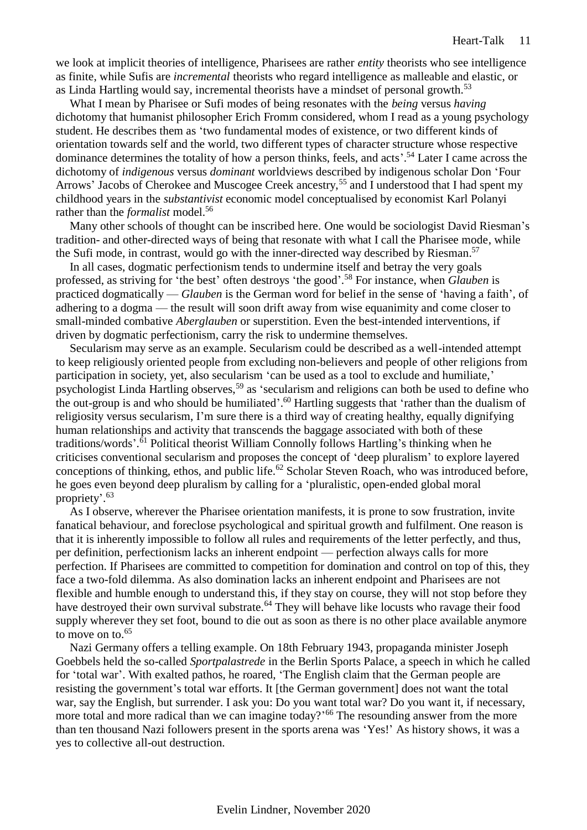we look at implicit theories of intelligence, Pharisees are rather *entity* theorists who see intelligence as finite, while Sufis are *incremental* theorists who regard intelligence as malleable and elastic, or as Linda Hartling would say, incremental theorists have a mindset of personal growth.<sup>53</sup>

What I mean by Pharisee or Sufi modes of being resonates with the *being* versus *having* dichotomy that humanist philosopher Erich Fromm considered, whom I read as a young psychology student. He describes them as 'two fundamental modes of existence, or two different kinds of orientation towards self and the world, two different types of character structure whose respective dominance determines the totality of how a person thinks, feels, and acts'. <sup>54</sup> Later I came across the dichotomy of *indigenous* versus *dominant* worldviews described by indigenous scholar Don 'Four Arrows' Jacobs of Cherokee and Muscogee Creek ancestry,<sup>55</sup> and I understood that I had spent my childhood years in the *substantivist* economic model conceptualised by economist Karl Polanyi rather than the *formalist* model.<sup>56</sup>

Many other schools of thought can be inscribed here. One would be sociologist David Riesman's tradition- and other-directed ways of being that resonate with what I call the Pharisee mode, while the Sufi mode, in contrast, would go with the inner-directed way described by Riesman.<sup>57</sup>

In all cases, dogmatic perfectionism tends to undermine itself and betray the very goals professed, as striving for 'the best' often destroys 'the good'. <sup>58</sup> For instance, when *Glauben* is practiced dogmatically — *Glauben* is the German word for belief in the sense of 'having a faith', of adhering to a dogma — the result will soon drift away from wise equanimity and come closer to small-minded combative *Aberglauben* or superstition. Even the best-intended interventions, if driven by dogmatic perfectionism, carry the risk to undermine themselves.

Secularism may serve as an example. Secularism could be described as a well-intended attempt to keep religiously oriented people from excluding non-believers and people of other religions from participation in society, yet, also secularism 'can be used as a tool to exclude and humiliate,' psychologist Linda Hartling observes,<sup>59</sup> as 'secularism and religions can both be used to define who the out-group is and who should be humiliated'.<sup>60</sup> Hartling suggests that 'rather than the dualism of religiosity versus secularism, I'm sure there is a third way of creating healthy, equally dignifying human relationships and activity that transcends the baggage associated with both of these traditions/words'. <sup>61</sup> Political theorist William Connolly follows Hartling's thinking when he criticises conventional secularism and proposes the concept of 'deep pluralism' to explore layered conceptions of thinking, ethos, and public life.<sup>62</sup> Scholar Steven Roach, who was introduced before, he goes even beyond deep pluralism by calling for a 'pluralistic, open-ended global moral propriety'. 63

As I observe, wherever the Pharisee orientation manifests, it is prone to sow frustration, invite fanatical behaviour, and foreclose psychological and spiritual growth and fulfilment. One reason is that it is inherently impossible to follow all rules and requirements of the letter perfectly, and thus, per definition, perfectionism lacks an inherent endpoint — perfection always calls for more perfection. If Pharisees are committed to competition for domination and control on top of this, they face a two-fold dilemma. As also domination lacks an inherent endpoint and Pharisees are not flexible and humble enough to understand this, if they stay on course, they will not stop before they have destroyed their own survival substrate.<sup>64</sup> They will behave like locusts who ravage their food supply wherever they set foot, bound to die out as soon as there is no other place available anymore to move on to.<sup>65</sup>

Nazi Germany offers a telling example. On 18th February 1943, propaganda minister Joseph Goebbels held the so-called *Sportpalastrede* in the Berlin Sports Palace, a speech in which he called for 'total war'. With exalted pathos, he roared, 'The English claim that the German people are resisting the government's total war efforts. It [the German government] does not want the total war, say the English, but surrender. I ask you: Do you want total war? Do you want it, if necessary, more total and more radical than we can imagine today?<sup>66</sup> The resounding answer from the more than ten thousand Nazi followers present in the sports arena was 'Yes!' As history shows, it was a yes to collective all-out destruction.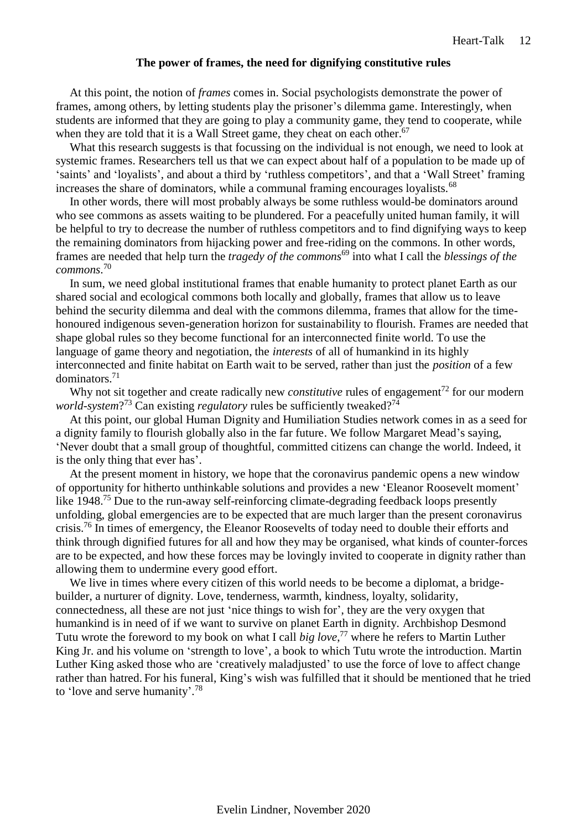### **The power of frames, the need for dignifying constitutive rules**

<span id="page-11-0"></span>At this point, the notion of *frames* comes in. Social psychologists demonstrate the power of frames, among others, by letting students play the prisoner's dilemma game. Interestingly, when students are informed that they are going to play a community game, they tend to cooperate, while when they are told that it is a Wall Street game, they cheat on each other.<sup>67</sup>

What this research suggests is that focussing on the individual is not enough, we need to look at systemic frames. Researchers tell us that we can expect about half of a population to be made up of 'saints' and 'loyalists', and about a third by 'ruthless competitors', and that a 'Wall Street' framing increases the share of dominators, while a communal framing encourages loyalists.<sup>68</sup>

In other words, there will most probably always be some ruthless would-be dominators around who see commons as assets waiting to be plundered. For a peacefully united human family, it will be helpful to try to decrease the number of ruthless competitors and to find dignifying ways to keep the remaining dominators from hijacking power and free-riding on the commons. In other words, frames are needed that help turn the *tragedy of the commons*<sup>69</sup> into what I call the *blessings of the commons*. 70

In sum, we need global institutional frames that enable humanity to protect planet Earth as our shared social and ecological commons both locally and globally, frames that allow us to leave behind the security dilemma and deal with the commons dilemma, frames that allow for the timehonoured indigenous seven-generation horizon for sustainability to flourish. Frames are needed that shape global rules so they become functional for an interconnected finite world. To use the language of game theory and negotiation, the *interests* of all of humankind in its highly interconnected and finite habitat on Earth wait to be served, rather than just the *position* of a few dominators.<sup>71</sup>

Why not sit together and create radically new *constitutive* rules of engagement<sup>72</sup> for our modern world-system?<sup>73</sup> Can existing *regulatory* rules be sufficiently tweaked?<sup>74</sup>

At this point, our global Human Dignity and Humiliation Studies network comes in as a seed for a dignity family to flourish globally also in the far future. We follow Margaret Mead's saying, 'Never doubt that a small group of thoughtful, committed citizens can change the world. Indeed, it is the only thing that ever has'.

At the present moment in history, we hope that the coronavirus pandemic opens a new window of opportunity for hitherto unthinkable solutions and provides a new 'Eleanor Roosevelt moment' like 1948.<sup>75</sup> Due to the run-away self-reinforcing climate-degrading feedback loops presently unfolding, global emergencies are to be expected that are much larger than the present coronavirus crisis.<sup>76</sup> In times of emergency, the Eleanor Roosevelts of today need to double their efforts and think through dignified futures for all and how they may be organised, what kinds of counter-forces are to be expected, and how these forces may be lovingly invited to cooperate in dignity rather than allowing them to undermine every good effort.

We live in times where every citizen of this world needs to be become a diplomat, a bridgebuilder, a nurturer of dignity. Love, tenderness, warmth, kindness, loyalty, solidarity, connectedness, all these are not just 'nice things to wish for', they are the very oxygen that humankind is in need of if we want to survive on planet Earth in dignity. Archbishop Desmond Tutu wrote the foreword to my book on what I call *big love*, <sup>77</sup> where he refers to Martin Luther King Jr. and his volume on 'strength to love', a book to which Tutu wrote the introduction. Martin Luther King asked those who are 'creatively maladjusted' to use the force of love to affect change rather than hatred. For his funeral, King's wish was fulfilled that it should be mentioned that he tried to 'love and serve humanity'.<sup>78</sup>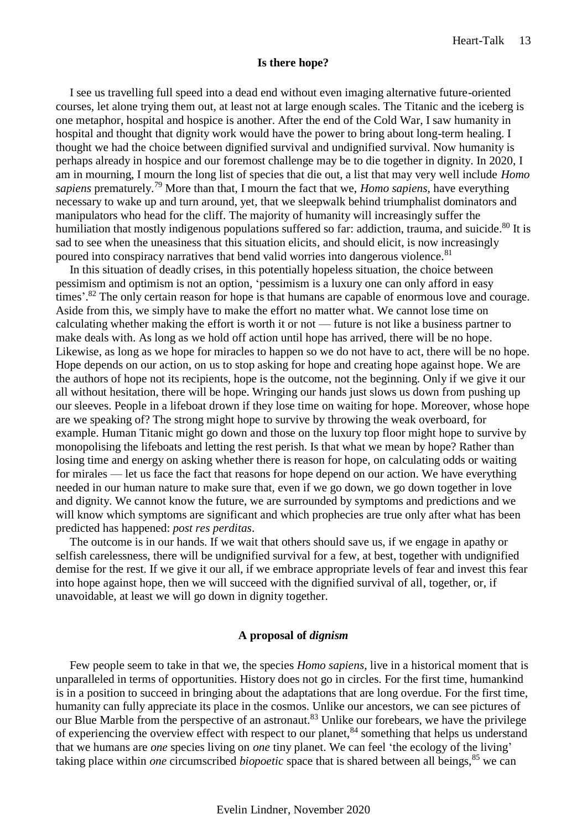#### **Is there hope?**

<span id="page-12-0"></span>I see us travelling full speed into a dead end without even imaging alternative future-oriented courses, let alone trying them out, at least not at large enough scales. The Titanic and the iceberg is one metaphor, hospital and hospice is another. After the end of the Cold War, I saw humanity in hospital and thought that dignity work would have the power to bring about long-term healing. I thought we had the choice between dignified survival and undignified survival. Now humanity is perhaps already in hospice and our foremost challenge may be to die together in dignity. In 2020, I am in mourning, I mourn the long list of species that die out, a list that may very well include *Homo sapiens* prematurely.<sup>79</sup> More than that, I mourn the fact that we, *Homo sapiens*, have everything necessary to wake up and turn around, yet, that we sleepwalk behind triumphalist dominators and manipulators who head for the cliff. The majority of humanity will increasingly suffer the humiliation that mostly indigenous populations suffered so far: addiction, trauma, and suicide.<sup>80</sup> It is sad to see when the uneasiness that this situation elicits, and should elicit, is now increasingly poured into conspiracy narratives that bend valid worries into dangerous violence.<sup>81</sup>

In this situation of deadly crises, in this potentially hopeless situation, the choice between pessimism and optimism is not an option, 'pessimism is a luxury one can only afford in easy times'.<sup>82</sup> The only certain reason for hope is that humans are capable of enormous love and courage. Aside from this, we simply have to make the effort no matter what. We cannot lose time on calculating whether making the effort is worth it or not — future is not like a business partner to make deals with. As long as we hold off action until hope has arrived, there will be no hope. Likewise, as long as we hope for miracles to happen so we do not have to act, there will be no hope. Hope depends on our action, on us to stop asking for hope and creating hope against hope. We are the authors of hope not its recipients, hope is the outcome, not the beginning. Only if we give it our all without hesitation, there will be hope. Wringing our hands just slows us down from pushing up our sleeves. People in a lifeboat drown if they lose time on waiting for hope. Moreover, whose hope are we speaking of? The strong might hope to survive by throwing the weak overboard, for example. Human Titanic might go down and those on the luxury top floor might hope to survive by monopolising the lifeboats and letting the rest perish. Is that what we mean by hope? Rather than losing time and energy on asking whether there is reason for hope, on calculating odds or waiting for mirales — let us face the fact that reasons for hope depend on our action. We have everything needed in our human nature to make sure that, even if we go down, we go down together in love and dignity. We cannot know the future, we are surrounded by symptoms and predictions and we will know which symptoms are significant and which prophecies are true only after what has been predicted has happened: *post res perditas*.

The outcome is in our hands. If we wait that others should save us, if we engage in apathy or selfish carelessness, there will be undignified survival for a few, at best, together with undignified demise for the rest. If we give it our all, if we embrace appropriate levels of fear and invest this fear into hope against hope, then we will succeed with the dignified survival of all, together, or, if unavoidable, at least we will go down in dignity together.

#### **A proposal of** *dignism*

<span id="page-12-1"></span>Few people seem to take in that we, the species *Homo sapiens*, live in a historical moment that is unparalleled in terms of opportunities. History does not go in circles. For the first time, humankind is in a position to succeed in bringing about the adaptations that are long overdue. For the first time, humanity can fully appreciate its place in the cosmos. Unlike our ancestors, we can see pictures of our Blue Marble from the perspective of an astronaut.<sup>83</sup> Unlike our forebears, we have the privilege of experiencing the overview effect with respect to our planet,<sup>84</sup> something that helps us understand that we humans are *one* species living on *one* tiny planet. We can feel 'the ecology of the living' taking place within *one* circumscribed *biopoetic* space that is shared between all beings,<sup>85</sup> we can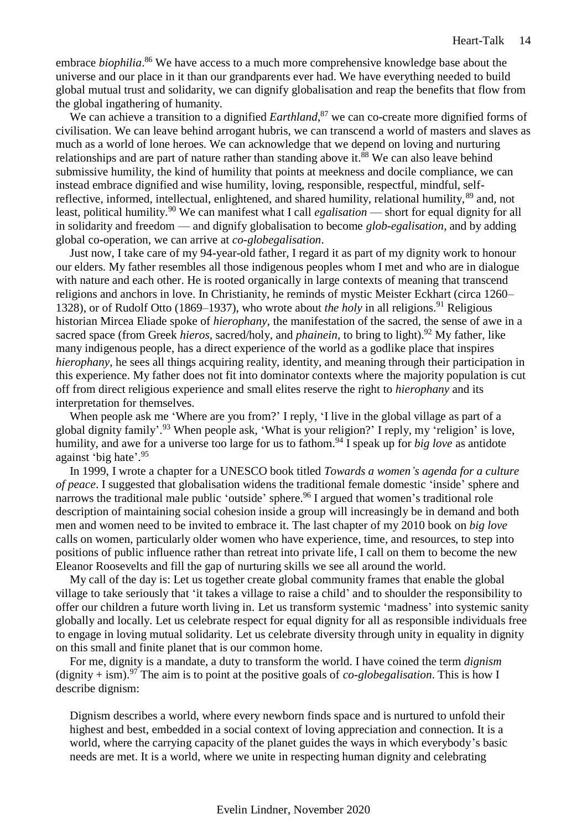embrace *biophilia*. <sup>86</sup> We have access to a much more comprehensive knowledge base about the universe and our place in it than our grandparents ever had. We have everything needed to build global mutual trust and solidarity, we can dignify globalisation and reap the benefits that flow from the global ingathering of humanity.

We can achieve a transition to a dignified *Earthland*,<sup>87</sup> we can co-create more dignified forms of civilisation. We can leave behind arrogant hubris, we can transcend a world of masters and slaves as much as a world of lone heroes. We can acknowledge that we depend on loving and nurturing relationships and are part of nature rather than standing above it.<sup>88</sup> We can also leave behind submissive humility, the kind of humility that points at meekness and docile compliance, we can instead embrace dignified and wise humility, loving, responsible, respectful, mindful, selfreflective, informed, intellectual, enlightened, and shared humility, relational humility,  $89$  and, not least, political humility.<sup>90</sup> We can manifest what I call *egalisation* — short for equal dignity for all in solidarity and freedom — and dignify globalisation to become *glob-egalisation*, and by adding global co-operation, we can arrive at *co-globegalisation*.

Just now, I take care of my 94-year-old father, I regard it as part of my dignity work to honour our elders. My father resembles all those indigenous peoples whom I met and who are in dialogue with nature and each other. He is rooted organically in large contexts of meaning that transcend religions and anchors in love. In Christianity, he reminds of mystic Meister Eckhart (circa 1260– 1328), or of Rudolf Otto (1869–1937), who wrote about *the holy* in all religions.<sup>91</sup> Religious historian Mircea Eliade spoke of *hierophany*, the manifestation of the sacred, the sense of awe in a sacred space (from Greek *hieros*, sacred/holy, and *phainein*, to bring to light).<sup>92</sup> My father, like many indigenous people, has a direct experience of the world as a godlike place that inspires *hierophany*, he sees all things acquiring reality, identity, and meaning through their participation in this experience. My father does not fit into dominator contexts where the majority population is cut off from direct religious experience and small elites reserve the right to *hierophany* and its interpretation for themselves.

When people ask me 'Where are you from?' I reply, 'I live in the global village as part of a global dignity family'.<sup>93</sup> When people ask, 'What is your religion?' I reply, my 'religion' is love, humility, and awe for a universe too large for us to fathom.<sup>94</sup> I speak up for *big love* as antidote against 'big hate'. 95

In 1999, I wrote a chapter for a UNESCO book titled *Towards a women's agenda for a culture of peace*. I suggested that globalisation widens the traditional female domestic 'inside' sphere and narrows the traditional male public 'outside' sphere.<sup>96</sup> I argued that women's traditional role description of maintaining social cohesion inside a group will increasingly be in demand and both men and women need to be invited to embrace it. The last chapter of my 2010 book on *big love* calls on women, particularly older women who have experience, time, and resources, to step into positions of public influence rather than retreat into private life, I call on them to become the new Eleanor Roosevelts and fill the gap of nurturing skills we see all around the world.

My call of the day is: Let us together create global community frames that enable the global village to take seriously that 'it takes a village to raise a child' and to shoulder the responsibility to offer our children a future worth living in. Let us transform systemic 'madness' into systemic sanity globally and locally. Let us celebrate respect for equal dignity for all as responsible individuals free to engage in loving mutual solidarity. Let us celebrate diversity through unity in equality in dignity on this small and finite planet that is our common home.

For me, dignity is a mandate, a duty to transform the world. I have coined the term *dignism* (dignity + ism).<sup>97</sup> The aim is to point at the positive goals of *co-globegalisation*. This is how I describe dignism:

Dignism describes a world, where every newborn finds space and is nurtured to unfold their highest and best, embedded in a social context of loving appreciation and connection. It is a world, where the carrying capacity of the planet guides the ways in which everybody's basic needs are met. It is a world, where we unite in respecting human dignity and celebrating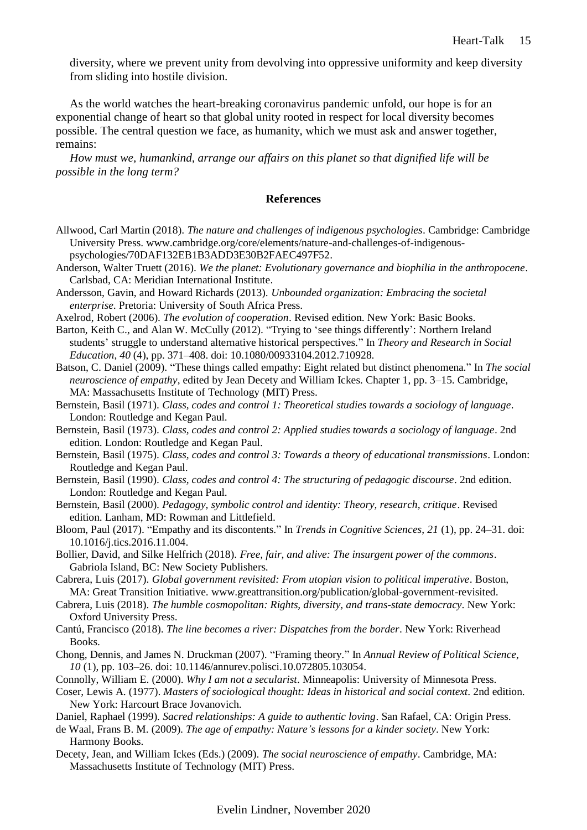diversity, where we prevent unity from devolving into oppressive uniformity and keep diversity from sliding into hostile division.

As the world watches the heart-breaking coronavirus pandemic unfold, our hope is for an exponential change of heart so that global unity rooted in respect for local diversity becomes possible. The central question we face, as humanity, which we must ask and answer together, remains:

*How must we, humankind, arrange our affairs on this planet so that dignified life will be possible in the long term?*

### **References**

- <span id="page-14-0"></span>Allwood, Carl Martin (2018). *The nature and challenges of indigenous psychologies*. Cambridge: Cambridge University Press. [www.cambridge.org/core/elements/nature-and-challenges-of-indigenous](www.cambridge.org/core/elements/nature-and-challenges-of-indigenous-psychologies/70DAF132EB1B3ADD3E30B2FAEC497F52)[psychologies/70DAF132EB1B3ADD3E30B2FAEC497F52.](www.cambridge.org/core/elements/nature-and-challenges-of-indigenous-psychologies/70DAF132EB1B3ADD3E30B2FAEC497F52)
- Anderson, Walter Truett (2016). *We the planet: Evolutionary governance and biophilia in the anthropocene*. Carlsbad, CA: Meridian International Institute.
- Andersson, Gavin, and Howard Richards (2013). *Unbounded organization: Embracing the societal enterprise*. Pretoria: University of South Africa Press.
- Axelrod, Robert (2006). *The evolution of cooperation*. Revised edition. New York: Basic Books.
- Barton, Keith C., and Alan W. McCully (2012). "Trying to 'see things differently': Northern Ireland students' struggle to understand alternative historical perspectives." In *Theory and Research in Social Education*, *40* (4), pp. 371–408. doi: 10.1080/00933104.2012.710928.
- Batson, C. Daniel (2009). "These things called empathy: Eight related but distinct phenomena." In *The social neuroscience of empathy*, edited by Jean Decety and William Ickes. Chapter 1, pp. 3–15. Cambridge, MA: Massachusetts Institute of Technology (MIT) Press.
- Bernstein, Basil (1971). *Class, codes and control 1: Theoretical studies towards a sociology of language*. London: Routledge and Kegan Paul.
- Bernstein, Basil (1973). *Class, codes and control 2: Applied studies towards a sociology of language*. 2nd edition. London: Routledge and Kegan Paul.
- Bernstein, Basil (1975). *Class, codes and control 3: Towards a theory of educational transmissions*. London: Routledge and Kegan Paul.
- Bernstein, Basil (1990). *Class, codes and control 4: The structuring of pedagogic discourse*. 2nd edition. London: Routledge and Kegan Paul.
- Bernstein, Basil (2000). *Pedagogy, symbolic control and identity: Theory, research, critique*. Revised edition. Lanham, MD: Rowman and Littlefield.

Bloom, Paul (2017). "Empathy and its discontents." In *Trends in Cognitive Sciences*, *21* (1), pp. 24–31. doi: 10.1016/j.tics.2016.11.004.

- Bollier, David, and Silke Helfrich (2018). *Free, fair, and alive: The insurgent power of the commons*. Gabriola Island, BC: New Society Publishers.
- Cabrera, Luis (2017). *Global government revisited: From utopian vision to political imperative*. Boston, MA: Great Transition Initiative. [www.greattransition.org/publication/global-government-revisited.](www.greattransition.org/publication/global-government-revisited)
- Cabrera, Luis (2018). *The humble cosmopolitan: Rights, diversity, and trans-state democracy*. New York: Oxford University Press.
- Cantú, Francisco (2018). *The line becomes a river: Dispatches from the border*. New York: Riverhead Books.
- Chong, Dennis, and James N. Druckman (2007). "Framing theory." In *Annual Review of Political Science*, *10* (1), pp. 103–26. doi: 10.1146/annurev.polisci.10.072805.103054.
- Connolly, William E. (2000). *Why I am not a secularist*. Minneapolis: University of Minnesota Press.
- Coser, Lewis A. (1977). *Masters of sociological thought: Ideas in historical and social context*. 2nd edition. New York: Harcourt Brace Jovanovich.
- Daniel, Raphael (1999). *Sacred relationships: A guide to authentic loving*. San Rafael, CA: Origin Press.
- de Waal, Frans B. M. (2009). *The age of empathy: Nature's lessons for a kinder society*. New York: Harmony Books.
- Decety, Jean, and William Ickes (Eds.) (2009). *The social neuroscience of empathy*. Cambridge, MA: Massachusetts Institute of Technology (MIT) Press.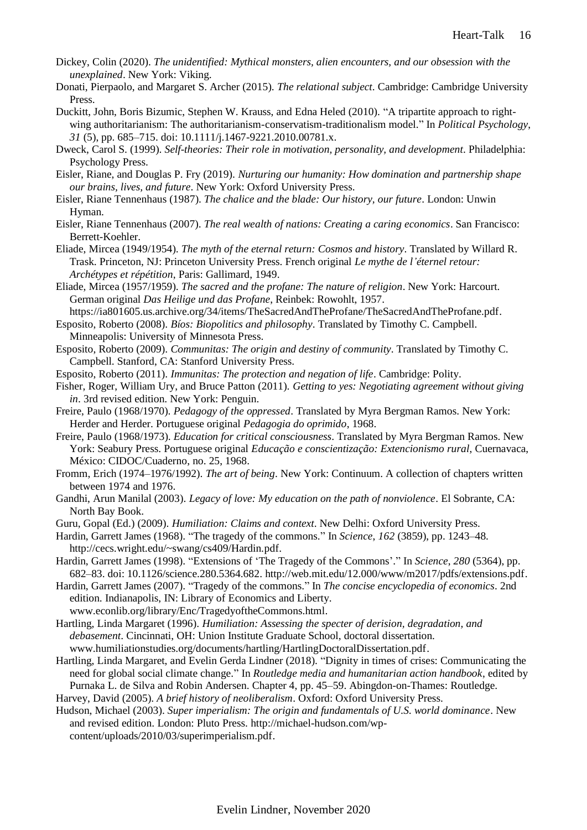- Dickey, Colin (2020). *The unidentified: Mythical monsters, alien encounters, and our obsession with the unexplained*. New York: Viking.
- Donati, Pierpaolo, and Margaret S. Archer (2015). *The relational subject*. Cambridge: Cambridge University Press.
- Duckitt, John, Boris Bizumic, Stephen W. Krauss, and Edna Heled (2010). "A tripartite approach to rightwing authoritarianism: The authoritarianism-conservatism-traditionalism model." In *Political Psychology*, *31* (5), pp. 685–715. doi: 10.1111/j.1467-9221.2010.00781.x.
- Dweck, Carol S. (1999). *Self-theories: Their role in motivation, personality, and development*. Philadelphia: Psychology Press.
- Eisler, Riane, and Douglas P. Fry (2019). *Nurturing our humanity: How domination and partnership shape our brains, lives, and future*. New York: Oxford University Press.
- Eisler, Riane Tennenhaus (1987). *The chalice and the blade: Our history, our future*. London: Unwin Hyman.
- Eisler, Riane Tennenhaus (2007). *The real wealth of nations: Creating a caring economics*. San Francisco: Berrett-Koehler.
- Eliade, Mircea (1949/1954). *The myth of the eternal return: Cosmos and history*. Translated by Willard R. Trask. Princeton, NJ: Princeton University Press. French original *Le mythe de l'éternel retour: Archétypes et répétition*, Paris: Gallimard, 1949.
- Eliade, Mircea (1957/1959). *The sacred and the profane: The nature of religion*. New York: Harcourt. German original *Das Heilige und das Profane*, Reinbek: Rowohlt, 1957.
- [https://ia801605.us.archive.org/34/items/TheSacredAndTheProfane/TheSacredAndTheProfane.pdf.](https://ia801605.us.archive.org/34/items/TheSacredAndTheProfane/TheSacredAndTheProfane.pdf) Esposito, Roberto (2008). *Bíos: Biopolitics and philosophy*. Translated by Timothy C. Campbell.

Minneapolis: University of Minnesota Press.

- Esposito, Roberto (2009). *Communitas: The origin and destiny of community*. Translated by Timothy C. Campbell. Stanford, CA: Stanford University Press.
- Esposito, Roberto (2011). *Immunitas: The protection and negation of life*. Cambridge: Polity.
- Fisher, Roger, William Ury, and Bruce Patton (2011). *Getting to yes: Negotiating agreement without giving in*. 3rd revised edition. New York: Penguin.
- Freire, Paulo (1968/1970). *Pedagogy of the oppressed*. Translated by Myra Bergman Ramos. New York: Herder and Herder. Portuguese original *Pedagogia do oprimido*, 1968.
- Freire, Paulo (1968/1973). *Education for critical consciousness*. Translated by Myra Bergman Ramos. New York: Seabury Press. Portuguese original *Educação e conscientização: Extencionismo rural*, Cuernavaca, México: CIDOC/Cuaderno, no. 25, 1968.
- Fromm, Erich (1974–1976/1992). *The art of being*. New York: Continuum. A collection of chapters written between 1974 and 1976.
- Gandhi, Arun Manilal (2003). *Legacy of love: My education on the path of nonviolence*. El Sobrante, CA: North Bay Book.
- Guru, Gopal (Ed.) (2009). *Humiliation: Claims and context*. New Delhi: Oxford University Press.
- Hardin, Garrett James (1968). "The tragedy of the commons." In *Science*, *162* (3859), pp. 1243–48. [http://cecs.wright.edu/~swang/cs409/Hardin.pdf.](http://cecs.wright.edu/~swang/cs409/Hardin.pdf)
- Hardin, Garrett James (1998). "Extensions of 'The Tragedy of the Commons'." In *Science*, *280* (5364), pp. 682–83. doi: 10.1126/science.280.5364.682. [http://web.mit.edu/12.000/www/m2017/pdfs/extensions.pdf.](http://web.mit.edu/12.000/www/m2017/pdfs/extensions.pdf)
- Hardin, Garrett James (2007). "Tragedy of the commons." In *The concise encyclopedia of economics*. 2nd edition. Indianapolis, IN: Library of Economics and Liberty. [www.econlib.org/library/Enc/TragedyoftheCommons.html.](www.econlib.org/library/Enc/TragedyoftheCommons.html)
- Hartling, Linda Margaret (1996). *Humiliation: Assessing the specter of derision, degradation, and debasement*. Cincinnati, OH: Union Institute Graduate School, doctoral dissertation. [www.humiliationstudies.org/documents/hartling/HartlingDoctoralDissertation.pdf.](www.humiliationstudies.org/documents/hartling/HartlingDoctoralDissertation.pdf)
- Hartling, Linda Margaret, and Evelin Gerda Lindner (2018). "Dignity in times of crises: Communicating the need for global social climate change." In *Routledge media and humanitarian action handbook*, edited by Purnaka L. de Silva and Robin Andersen. Chapter 4, pp. 45–59. Abingdon-on-Thames: Routledge.

Harvey, David (2005). *A brief history of neoliberalism*. Oxford: Oxford University Press.

Hudson, Michael (2003). *Super imperialism: The origin and fundamentals of U.S. world dominance*. New and revised edition. London: Pluto Press. [http://michael-hudson.com/wp](http://michael-hudson.com/wp-content/uploads/2010/03/superimperialism.pdf)[content/uploads/2010/03/superimperialism.pdf.](http://michael-hudson.com/wp-content/uploads/2010/03/superimperialism.pdf)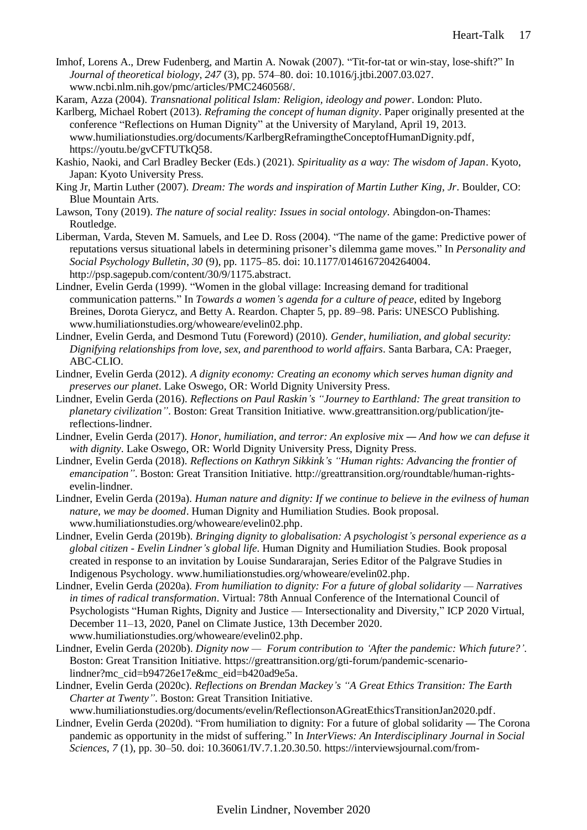- Imhof, Lorens A., Drew Fudenberg, and Martin A. Nowak (2007). "Tit-for-tat or win-stay, lose-shift?" In *Journal of theoretical biology*, *247* (3), pp. 574–80. doi: 10.1016/j.jtbi.2007.03.027. [www.ncbi.nlm.nih.gov/pmc/articles/PMC2460568/.](www.ncbi.nlm.nih.gov/pmc/articles/PMC2460568/)
- Karam, Azza (2004). *Transnational political Islam: Religion, ideology and power*. London: Pluto.
- Karlberg, Michael Robert (2013). *Reframing the concept of human dignity*. Paper originally presented at the conference "Reflections on Human Dignity" at the University of Maryland, April 19, 2013. [www.humiliationstudies.org/documents/KarlbergReframingtheConceptofHumanDignity.pdf,](www.humiliationstudies.org/documents/KarlbergReframingtheConceptofHumanDignity.pdf) [https://youtu.be/gvCFTUTkQ58.](https://youtu.be/gvCFTUTkQ58)
- Kashio, Naoki, and Carl Bradley Becker (Eds.) (2021). *Spirituality as a way: The wisdom of Japan*. Kyoto, Japan: Kyoto University Press.
- King Jr, Martin Luther (2007). *Dream: The words and inspiration of Martin Luther King, Jr*. Boulder, CO: Blue Mountain Arts.
- Lawson, Tony (2019). *The nature of social reality: Issues in social ontology*. Abingdon-on-Thames: Routledge.
- Liberman, Varda, Steven M. Samuels, and Lee D. Ross (2004). "The name of the game: Predictive power of reputations versus situational labels in determining prisoner's dilemma game moves." In *Personality and Social Psychology Bulletin*, *30* (9), pp. 1175–85. doi: 10.1177/0146167204264004. [http://psp.sagepub.com/content/30/9/1175.abstract.](http://psp.sagepub.com/content/30/9/1175.abstract)
- Lindner, Evelin Gerda (1999). "Women in the global village: Increasing demand for traditional communication patterns." In *Towards a women's agenda for a culture of peace*, edited by Ingeborg Breines, Dorota Gierycz, and Betty A. Reardon. Chapter 5, pp. 89–98. Paris: UNESCO Publishing. [www.humiliationstudies.org/whoweare/evelin02.php.](www.humiliationstudies.org/whoweare/evelin02.php)
- Lindner, Evelin Gerda, and Desmond Tutu (Foreword) (2010). *Gender, humiliation, and global security: Dignifying relationships from love, sex, and parenthood to world affairs*. Santa Barbara, CA: Praeger, ABC-CLIO.
- Lindner, Evelin Gerda (2012). *A dignity economy: Creating an economy which serves human dignity and preserves our planet*. Lake Oswego, OR: World Dignity University Press.
- Lindner, Evelin Gerda (2016). *Reflections on Paul Raskin's "Journey to Earthland: The great transition to planetary civilization"*. Boston: Great Transition Initiative. [www.greattransition.org/publication/jte](www.greattransition.org/publication/jte-reflections-lindner)[reflections-lindner.](www.greattransition.org/publication/jte-reflections-lindner)
- Lindner, Evelin Gerda (2017). *Honor, humiliation, and terror: An explosive mix And how we can defuse it with dignity*. Lake Oswego, OR: World Dignity University Press, Dignity Press.
- Lindner, Evelin Gerda (2018). *Reflections on Kathryn Sikkink's "Human rights: Advancing the frontier of emancipation"*. Boston: Great Transition Initiative. [http://greattransition.org/roundtable/human-rights](http://greattransition.org/roundtable/human-rights-evelin-lindner)[evelin-lindner.](http://greattransition.org/roundtable/human-rights-evelin-lindner)
- Lindner, Evelin Gerda (2019a). *Human nature and dignity: If we continue to believe in the evilness of human nature, we may be doomed*. Human Dignity and Humiliation Studies. Book proposal. [www.humiliationstudies.org/whoweare/evelin02.php.](www.humiliationstudies.org/whoweare/evelin02.php)
- Lindner, Evelin Gerda (2019b). *Bringing dignity to globalisation: A psychologist's personal experience as a global citizen - Evelin Lindner's global life*. Human Dignity and Humiliation Studies. Book proposal created in response to an invitation by Louise Sundararajan, Series Editor of the Palgrave Studies in Indigenous Psychology. [www.humiliationstudies.org/whoweare/evelin02.php.](www.humiliationstudies.org/whoweare/evelin02.php)
- Lindner, Evelin Gerda (2020a). *From humiliation to dignity: For a future of global solidarity — Narratives in times of radical transformation*. Virtual: 78th Annual Conference of the International Council of Psychologists "Human Rights, Dignity and Justice — Intersectionality and Diversity," ICP 2020 Virtual, December 11–13, 2020, Panel on Climate Justice, 13th December 2020. [www.humiliationstudies.org/whoweare/evelin02.php.](www.humiliationstudies.org/whoweare/evelin02.php)
- Lindner, Evelin Gerda (2020b). *Dignity now Forum contribution to 'After the pandemic: Which future?'*. Boston: Great Transition Initiative. [https://greattransition.org/gti-forum/pandemic-scenario](https://greattransition.org/gti-forum/pandemic-scenario-lindner?mc_cid=b94726e17e&mc_eid=b420ad9e5a)[lindner?mc\\_cid=b94726e17e&mc\\_eid=b420ad9e5a.](https://greattransition.org/gti-forum/pandemic-scenario-lindner?mc_cid=b94726e17e&mc_eid=b420ad9e5a)
- Lindner, Evelin Gerda (2020c). *Reflections on Brendan Mackey's "A Great Ethics Transition: The Earth Charter at Twenty"*. Boston: Great Transition Initiative.
- [www.humiliationstudies.org/documents/evelin/ReflectionsonAGreatEthicsTransitionJan2020.pdf.](www.humiliationstudies.org/documents/evelin/ReflectionsonAGreatEthicsTransitionJan2020.pdf)
- Lindner, Evelin Gerda (2020d). "From humiliation to dignity: For a future of global solidarity The Corona pandemic as opportunity in the midst of suffering." In *InterViews: An Interdisciplinary Journal in Social Sciences*, *7* (1), pp. 30–50. doi: 10.36061/IV.7.1.20.30.50. [https://interviewsjournal.com/from-](https://interviewsjournal.com/from-humiliation-to-dignity-for-a-future-of-global-solidarity-the-coronavirus-pandemic-as-opportunity-in-the-midst-of-suffering/)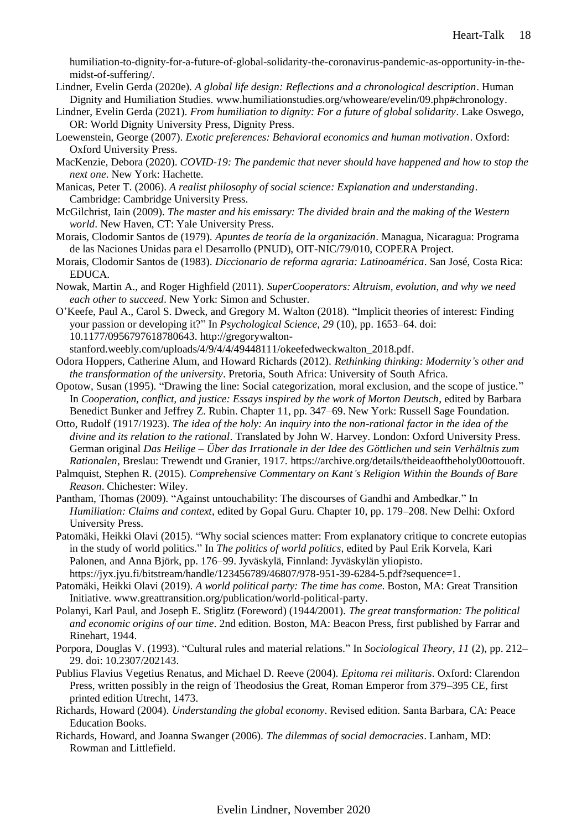[humiliation-to-dignity-for-a-future-of-global-solidarity-the-coronavirus-pandemic-as-opportunity-in-the](https://interviewsjournal.com/from-humiliation-to-dignity-for-a-future-of-global-solidarity-the-coronavirus-pandemic-as-opportunity-in-the-midst-of-suffering/)[midst-of-suffering/.](https://interviewsjournal.com/from-humiliation-to-dignity-for-a-future-of-global-solidarity-the-coronavirus-pandemic-as-opportunity-in-the-midst-of-suffering/)

- Lindner, Evelin Gerda (2020e). *A global life design: Reflections and a chronological description*. Human Dignity and Humiliation Studies. [www.humiliationstudies.org/whoweare/evelin/09.php#chronology.](www.humiliationstudies.org/whoweare/evelin/09.php#chronology)
- Lindner, Evelin Gerda (2021). *From humiliation to dignity: For a future of global solidarity*. Lake Oswego, OR: World Dignity University Press, Dignity Press.
- Loewenstein, George (2007). *Exotic preferences: Behavioral economics and human motivation*. Oxford: Oxford University Press.
- MacKenzie, Debora (2020). *COVID-19: The pandemic that never should have happened and how to stop the next one*. New York: Hachette.
- Manicas, Peter T. (2006). *A realist philosophy of social science: Explanation and understanding*. Cambridge: Cambridge University Press.
- McGilchrist, Iain (2009). *The master and his emissary: The divided brain and the making of the Western world*. New Haven, CT: Yale University Press.
- Morais, Clodomir Santos de (1979). *Apuntes de teoría de la organización*. Managua, Nicaragua: Programa de las Naciones Unidas para el Desarrollo (PNUD), OIT-NIC/79/010, COPERA Project.
- Morais, Clodomir Santos de (1983). *Diccionario de reforma agraria: Latinoamérica*. San José, Costa Rica: EDUCA.
- Nowak, Martin A., and Roger Highfield (2011). *SuperCooperators: Altruism, evolution, and why we need each other to succeed*. New York: Simon and Schuster.
- O'Keefe, Paul A., Carol S. Dweck, and Gregory M. Walton (2018). "Implicit theories of interest: Finding your passion or developing it?" In *Psychological Science*, *29* (10), pp. 1653–64. doi: 10.1177/0956797618780643. [http://gregorywalton-](http://gregorywalton-stanford.weebly.com/uploads/4/9/4/4/49448111/okeefedweckwalton_2018.pdf)

[stanford.weebly.com/uploads/4/9/4/4/49448111/okeefedweckwalton\\_2018.pdf.](http://gregorywalton-stanford.weebly.com/uploads/4/9/4/4/49448111/okeefedweckwalton_2018.pdf)

- Odora Hoppers, Catherine Alum, and Howard Richards (2012). *Rethinking thinking: Modernity's other and the transformation of the university*. Pretoria, South Africa: University of South Africa.
- Opotow, Susan (1995). "Drawing the line: Social categorization, moral exclusion, and the scope of justice." In *Cooperation, conflict, and justice: Essays inspired by the work of Morton Deutsch*, edited by Barbara Benedict Bunker and Jeffrey Z. Rubin. Chapter 11, pp. 347–69. New York: Russell Sage Foundation.
- Otto, Rudolf (1917/1923). *The idea of the holy: An inquiry into the non-rational factor in the idea of the divine and its relation to the rational*. Translated by John W. Harvey. London: Oxford University Press. German original *Das Heilige* – *Über das Irrationale in der Idee des Göttlichen und sein Verhältnis zum Rationalen*, Breslau: Trewendt und Granier, 1917. [https://archive.org/details/theideaoftheholy00ottouoft.](https://archive.org/details/theideaoftheholy00ottouoft)
- Palmquist, Stephen R. (2015). *Comprehensive Commentary on Kant's Religion Within the Bounds of Bare Reason*. Chichester: Wiley.
- Pantham, Thomas (2009). "Against untouchability: The discourses of Gandhi and Ambedkar." In *Humiliation: Claims and context*, edited by Gopal Guru. Chapter 10, pp. 179–208. New Delhi: Oxford University Press.
- Patomäki, Heikki Olavi (2015). "Why social sciences matter: From explanatory critique to concrete eutopias in the study of world politics." In *The politics of world politics*, edited by Paul Erik Korvela, Kari Palonen, and Anna Björk, pp. 176–99. Jyväskylä, Finnland: Jyväskylän yliopisto. [https://jyx.jyu.fi/bitstream/handle/123456789/46807/978-951-39-6284-5.pdf?sequence=1.](https://jyx.jyu.fi/bitstream/handle/123456789/46807/978-951-39-6284-5.pdf?sequence=1)
- Patomäki, Heikki Olavi (2019). *A world political party: The time has come*. Boston, MA: Great Transition Initiative. [www.greattransition.org/publication/world-political-party.](www.greattransition.org/publication/world-political-party)
- Polanyi, Karl Paul, and Joseph E. Stiglitz (Foreword) (1944/2001). *The great transformation: The political and economic origins of our time*. 2nd edition. Boston, MA: Beacon Press, first published by Farrar and Rinehart, 1944.
- Porpora, Douglas V. (1993). "Cultural rules and material relations." In *Sociological Theory*, *11* (2), pp. 212– 29. doi: 10.2307/202143.
- Publius Flavius Vegetius Renatus, and Michael D. Reeve (2004). *Epitoma rei militaris*. Oxford: Clarendon Press, written possibly in the reign of Theodosius the Great, Roman Emperor from 379–395 CE, first printed edition Utrecht, 1473.
- Richards, Howard (2004). *Understanding the global economy*. Revised edition. Santa Barbara, CA: Peace Education Books.
- Richards, Howard, and Joanna Swanger (2006). *The dilemmas of social democracies*. Lanham, MD: Rowman and Littlefield.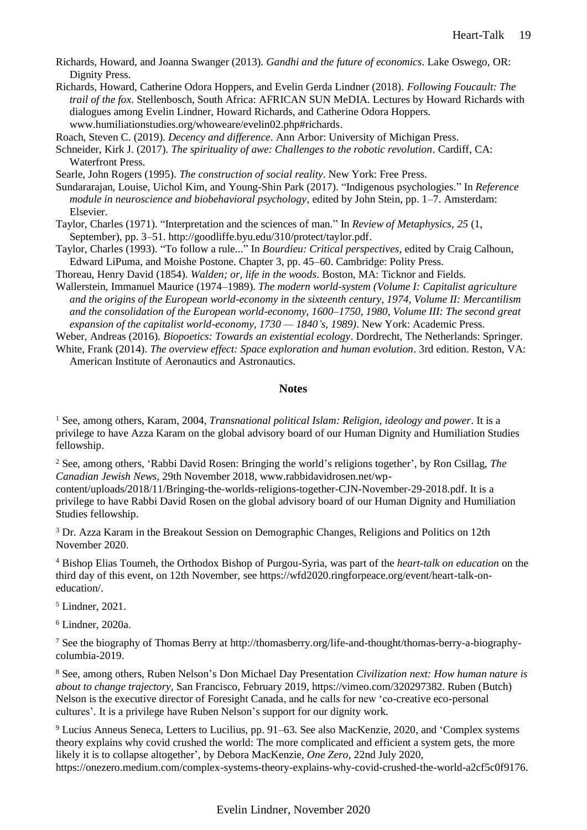- Richards, Howard, and Joanna Swanger (2013). *Gandhi and the future of economics*. Lake Oswego, OR: Dignity Press.
- Richards, Howard, Catherine Odora Hoppers, and Evelin Gerda Lindner (2018). *Following Foucault: The trail of the fox*. Stellenbosch, South Africa: AFRICAN SUN MeDIA. Lectures by Howard Richards with dialogues among Evelin Lindner, Howard Richards, and Catherine Odora Hoppers. [www.humiliationstudies.org/whoweare/evelin02.php#richards.](www.humiliationstudies.org/whoweare/evelin02.php#richards)

Roach, Steven C. (2019). *Decency and difference*. Ann Arbor: University of Michigan Press.

Schneider, Kirk J. (2017). *The spirituality of awe: Challenges to the robotic revolution*. Cardiff, CA: Waterfront Press.

Searle, John Rogers (1995). *The construction of social reality*. New York: Free Press.

Sundararajan, Louise, Uichol Kim, and Young-Shin Park (2017). "Indigenous psychologies." In *Reference module in neuroscience and biobehavioral psychology*, edited by John Stein, pp. 1–7. Amsterdam: Elsevier.

Taylor, Charles (1971). "Interpretation and the sciences of man." In *Review of Metaphysics*, *25* (1, September), pp. 3–51. [http://goodliffe.byu.edu/310/protect/taylor.pdf.](http://goodliffe.byu.edu/310/protect/taylor.pdf)

Taylor, Charles (1993). "To follow a rule..." In *Bourdieu: Critical perspectives*, edited by Craig Calhoun, Edward LiPuma, and Moishe Postone. Chapter 3, pp. 45–60. Cambridge: Polity Press.

Thoreau, Henry David (1854). *Walden; or, life in the woods*. Boston, MA: Ticknor and Fields.

Wallerstein, Immanuel Maurice (1974–1989). *The modern world-system (Volume I: Capitalist agriculture and the origins of the European world-economy in the sixteenth century, 1974, Volume II: Mercantilism and the consolidation of the European world-economy, 1600–1750, 1980, Volume III: The second great expansion of the capitalist world-economy, 1730 — 1840's, 1989)*. New York: Academic Press.

Weber, Andreas (2016). *Biopoetics: Towards an existential ecology*. Dordrecht, The Netherlands: Springer.

White, Frank (2014). *The overview effect: Space exploration and human evolution*. 3rd edition. Reston, VA: American Institute of Aeronautics and Astronautics.

### **Notes**

<sup>1</sup> See, among others, Karam, 2004, *Transnational political Islam: Religion, ideology and power*. It is a privilege to have Azza Karam on the global advisory board of our Human Dignity and Humiliation Studies fellowship.

<sup>2</sup> See, among others, 'Rabbi David Rosen: Bringing the world's religions together', by Ron Csillag, *The Canadian Jewish News*, 29th November 2018, www.rabbidavidrosen.net/wp-

content/uploads/2018/11/Bringing-the-worlds-religions-together-CJN-November-29-2018.pdf. It is a privilege to have Rabbi David Rosen on the global advisory board of our Human Dignity and Humiliation Studies fellowship.

<sup>3</sup> Dr. Azza Karam in the Breakout Session on Demographic Changes, Religions and Politics on 12th November 2020.

<sup>4</sup> Bishop Elias Toumeh, the Orthodox Bishop of Purgou-Syria, was part of the *[heart-talk on education](https://wfd2020.ringforpeace.org/event/heart-talk-on-education/)* on the third day of this event, on 12th November, see https://wfd2020.ringforpeace.org/event/heart-talk-oneducation/.

<sup>5</sup> Lindner, 2021.

<sup>6</sup> Lindner, 2020a.

<sup>7</sup> See the biography of Thomas Berry at http://thomasberry.org/life-and-thought/thomas-berry-a-biographycolumbia-2019.

<sup>8</sup> See, among others, Ruben Nelson's Don Michael Day Presentation *Civilization next: How human nature is about to change trajectory*, San Francisco, February 2019, https://vimeo.com/320297382. Ruben (Butch) Nelson is the executive director of Foresight Canada, and he calls for new 'co-creative eco-personal cultures'. It is a privilege have Ruben Nelson's support for our dignity work.

<sup>9</sup> Lucius Anneus Seneca, Letters to Lucilius, pp. 91–63. See also MacKenzie, 2020, and 'Complex systems theory explains why covid crushed the world: The more complicated and efficient a system gets, the more likely it is to collapse altogether', by Debora MacKenzie, *One Zero*, 22nd July 2020, https://onezero.medium.com/complex-systems-theory-explains-why-covid-crushed-the-world-a2cf5c0f9176.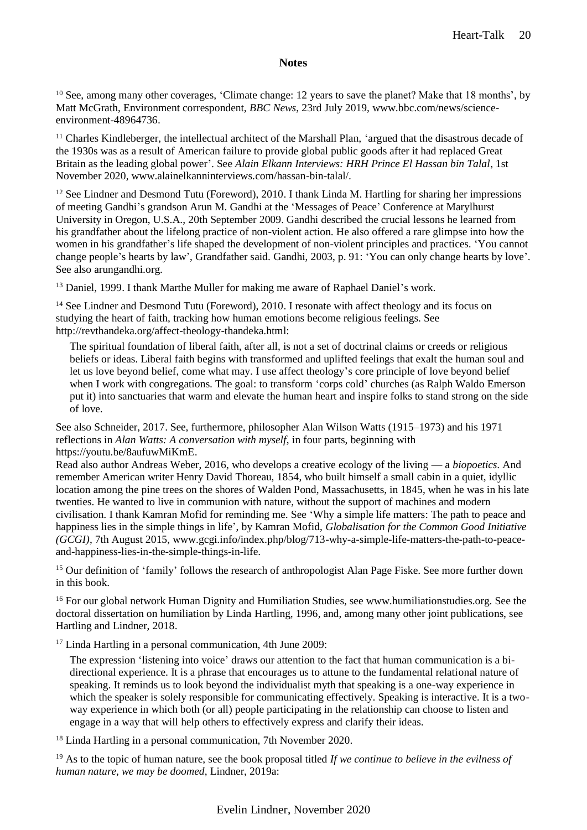<sup>10</sup> See, among many other coverages, 'Climate change: 12 years to save the planet? Make that 18 months', by Matt McGrath, Environment correspondent, *BBC News*, 23rd July 2019, www.bbc.com/news/scienceenvironment-48964736.

<sup>11</sup> Charles Kindleberger, the intellectual architect of the Marshall Plan, 'argued that the disastrous decade of the 1930s was as a result of American failure to provide global public goods after it had replaced Great Britain as the leading global power'. See *Alain Elkann Interviews: HRH Prince El Hassan bin Talal*, 1st November 2020, www.alainelkanninterviews.com/hassan-bin-talal/.

<sup>12</sup> See Lindner and Desmond Tutu (Foreword), 2010. I thank Linda M. Hartling for sharing her impressions of meeting Gandhi's grandson Arun M. Gandhi at the 'Messages of Peace' Conference at Marylhurst University in Oregon, U.S.A., 20th September 2009. Gandhi described the crucial lessons he learned from his grandfather about the lifelong practice of non-violent action. He also offered a rare glimpse into how the women in his grandfather's life shaped the development of non-violent principles and practices. 'You cannot change people's hearts by law', Grandfather said. Gandhi, 2003, p. 91: 'You can only change hearts by love'. See also arungandhi.org.

<sup>13</sup> Daniel, 1999. I thank Marthe Muller for making me aware of Raphael Daniel's work.

<sup>14</sup> See Lindner and Desmond Tutu (Foreword), 2010. I resonate with affect theology and its focus on studying the heart of faith, tracking how human emotions become religious feelings. See http://revthandeka.org/affect-theology-thandeka.html:

The spiritual foundation of liberal faith, after all, is not a set of doctrinal claims or creeds or religious beliefs or ideas. Liberal faith begins with transformed and uplifted feelings that exalt the human soul and let us love beyond belief, come what may. I use affect theology's core principle of love beyond belief when I work with congregations. The goal: to transform 'corps cold' churches (as Ralph Waldo Emerson put it) into sanctuaries that warm and elevate the human heart and inspire folks to stand strong on the side of love.

See also Schneider, 2017. See, furthermore, philosopher Alan Wilson Watts (1915–1973) and his 1971 reflections in *Alan Watts: A conversation with myself*, in four parts, beginning with [https://youtu.be/8aufuwMiKmE.](https://youtu.be/8aufuwMiKmE)

Read also author Andreas Weber, 2016, who develops a creative ecology of the living — a *biopoetics*. And remember American writer Henry David Thoreau, 1854, who built himself a small cabin in a quiet, idyllic location among the pine trees on the shores of Walden Pond, Massachusetts, in 1845, when he was in his late twenties. He wanted to live in communion with nature, without the support of machines and modern civilisation. I thank Kamran Mofid for reminding me. See 'Why a simple life matters: The path to peace and happiness lies in the simple things in life', by Kamran Mofid, *Globalisation for the Common Good Initiative (GCGI)*, 7th August 2015, www.gcgi.info/index.php/blog/713-why-a-simple-life-matters-the-path-to-peaceand-happiness-lies-in-the-simple-things-in-life.

<sup>15</sup> Our definition of 'family' follows the research of anthropologist Alan Page Fiske. See more further down in this book.

<sup>16</sup> For our global network Human Dignity and Humiliation Studies, see www.humiliationstudies.org. See the doctoral dissertation on humiliation by Linda Hartling, 1996, and, among many other joint publications, see Hartling and Lindner, 2018.

<sup>17</sup> Linda Hartling in a personal communication, 4th June 2009:

The expression 'listening into voice' draws our attention to the fact that human communication is a bidirectional experience. It is a phrase that encourages us to attune to the fundamental relational nature of speaking. It reminds us to look beyond the individualist myth that speaking is a one-way experience in which the speaker is solely responsible for communicating effectively. Speaking is interactive. It is a twoway experience in which both (or all) people participating in the relationship can choose to listen and engage in a way that will help others to effectively express and clarify their ideas.

<sup>18</sup> Linda Hartling in a personal communication, 7th November 2020.

<sup>19</sup> As to the topic of human nature, see the book proposal titled *If we continue to believe in the evilness of human nature, we may be doomed*, Lindner, 2019a: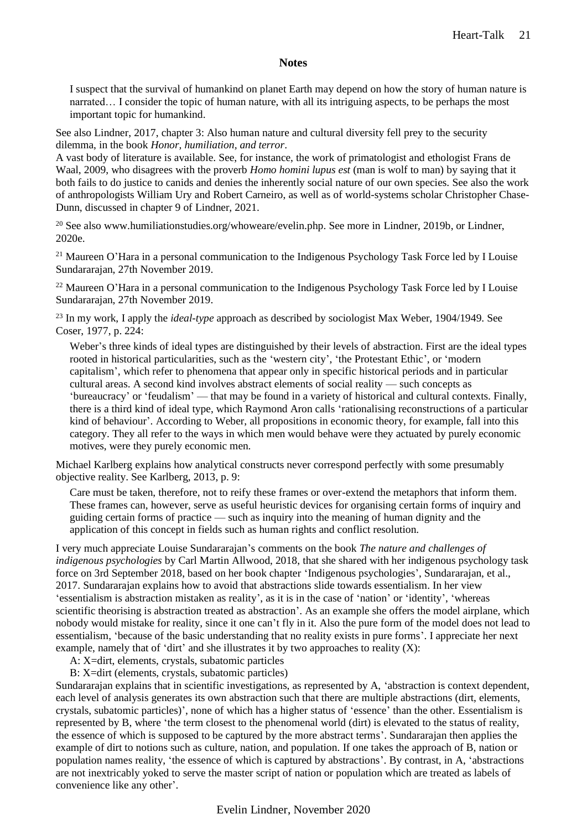I suspect that the survival of humankind on planet Earth may depend on how the story of human nature is narrated… I consider the topic of human nature, with all its intriguing aspects, to be perhaps the most important topic for humankind.

See also Lindner, 2017, chapter 3: Also human nature and cultural diversity fell prey to the security dilemma, in the book *Honor, humiliation, and terror*.

A vast body of literature is available. See, for instance, the work of primatologist and ethologist Frans de Waal, 2009, who disagrees with the proverb *Homo homini lupus est* (man is wolf to man) by saying that it both fails to do justice to canids and denies the inherently social nature of our own species. See also the work of anthropologists William Ury and Robert Carneiro, as well as of world-systems scholar Christopher Chase-Dunn, discussed in chapter 9 of Lindner, 2021.

<sup>20</sup> See also www.humiliationstudies.org/whoweare/evelin.php. See more in Lindner, 2019b, or Lindner, 2020e.

<sup>21</sup> Maureen O'Hara in a personal communication to the Indigenous Psychology Task Force led by I Louise Sundararajan, 27th November 2019.

<sup>22</sup> Maureen O'Hara in a personal communication to the Indigenous Psychology Task Force led by I Louise Sundararajan, 27th November 2019.

<sup>23</sup> In my work, I apply the *ideal-type* approach as described by sociologist Max Weber, 1904/1949. See Coser, 1977, p. 224:

Weber's three kinds of ideal types are distinguished by their levels of abstraction. First are the ideal types rooted in historical particularities, such as the 'western city', 'the Protestant Ethic', or 'modern capitalism', which refer to phenomena that appear only in specific historical periods and in particular cultural areas. A second kind involves abstract elements of social reality — such concepts as 'bureaucracy' or 'feudalism' — that may be found in a variety of historical and cultural contexts. Finally, there is a third kind of ideal type, which Raymond Aron calls 'rationalising reconstructions of a particular kind of behaviour'. According to Weber, all propositions in economic theory, for example, fall into this category. They all refer to the ways in which men would behave were they actuated by purely economic motives, were they purely economic men.

Michael Karlberg explains how analytical constructs never correspond perfectly with some presumably objective reality. See Karlberg, 2013, p. 9:

Care must be taken, therefore, not to reify these frames or over-extend the metaphors that inform them. These frames can, however, serve as useful heuristic devices for organising certain forms of inquiry and guiding certain forms of practice — such as inquiry into the meaning of human dignity and the application of this concept in fields such as human rights and conflict resolution.

I very much appreciate Louise Sundararajan's comments on the book *The nature and challenges of indigenous psychologies* by Carl Martin Allwood, 2018, that she shared with her indigenous psychology task force on 3rd September 2018, based on her book chapter 'Indigenous psychologies', Sundararajan, et al., 2017. Sundararajan explains how to avoid that abstractions slide towards essentialism. In her view 'essentialism is abstraction mistaken as reality', as it is in the case of 'nation' or 'identity', 'whereas scientific theorising is abstraction treated as abstraction'. As an example she offers the model airplane, which nobody would mistake for reality, since it one can't fly in it. Also the pure form of the model does not lead to essentialism, 'because of the basic understanding that no reality exists in pure forms'. I appreciate her next example, namely that of 'dirt' and she illustrates it by two approaches to reality (X):

A: X=dirt, elements, crystals, subatomic particles

B: X=dirt (elements, crystals, subatomic particles)

Sundararajan explains that in scientific investigations, as represented by A, 'abstraction is context dependent, each level of analysis generates its own abstraction such that there are multiple abstractions (dirt, elements, crystals, subatomic particles)', none of which has a higher status of 'essence' than the other. Essentialism is represented by B, where 'the term closest to the phenomenal world (dirt) is elevated to the status of reality, the essence of which is supposed to be captured by the more abstract terms'. Sundararajan then applies the example of dirt to notions such as culture, nation, and population. If one takes the approach of B, nation or population names reality, 'the essence of which is captured by abstractions'. By contrast, in A, 'abstractions are not inextricably yoked to serve the master script of nation or population which are treated as labels of convenience like any other'.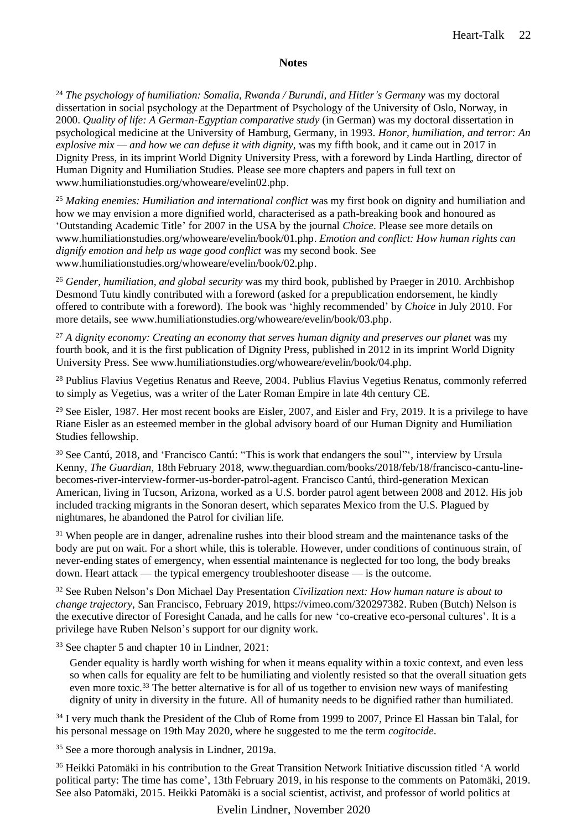<sup>24</sup> *The psychology of humiliation: Somalia, Rwanda / Burundi, and Hitler's Germany* was my doctoral dissertation in social psychology at the Department of Psychology of the University of Oslo, Norway, in 2000. *Quality of life: A German-Egyptian comparative study* (in German) was my doctoral dissertation in psychological medicine at the University of Hamburg, Germany, in 1993. *Honor, humiliation, and terror: An explosive mix — and how we can defuse it with dignity*, was my fifth book, and it came out in 2017 in Dignity Press, in its imprint World Dignity University Press, with a foreword by Linda Hartling, director of Human Dignity and Humiliation Studies. Please see more chapters and papers in full text on [www.humiliationstudies.org/whoweare/evelin02.php.](http://www.humiliationstudies.org/whoweare/evelin02.php)

<sup>25</sup> *Making enemies: Humiliation and international conflict* was my first book on dignity and humiliation and how we may envision a more dignified world, characterised as a path-breaking book and honoured as 'Outstanding Academic Title' for 2007 in the USA by the journal *Choice*. Please see more details on [www.humiliationstudies.org/whoweare/evelin/book/01.php.](http://www.humiliationstudies.org/whoweare/evelin/book/01.php) *Emotion and conflict: How human rights can dignify emotion and help us wage good conflict* was my second book. See [www.humiliationstudies.org/whoweare/evelin/book/02.php.](http://www.humiliationstudies.org/whoweare/evelin/book/02.php)

<sup>26</sup> *Gender, humiliation, and global security* was my third book, published by Praeger in 2010. Archbishop Desmond Tutu kindly contributed with a foreword (asked for a prepublication endorsement, he kindly offered to contribute with a foreword). The book was 'highly recommended' by *Choice* in July 2010. For more details, see [www.humiliationstudies.org/whoweare/evelin/book/03.php.](http://www.humiliationstudies.org/whoweare/evelinbook/03.php)

<sup>27</sup> *A dignity economy: Creating an economy that serves human dignity and preserves our planet* was my fourth book, and it is the first publication of Dignity Press, published in 2012 in its imprint World Dignity University Press. See www.humiliationstudies.org/whoweare/evelin/book/04.php.

<sup>28</sup> Publius Flavius Vegetius Renatus and Reeve, 2004. Publius Flavius Vegetius Renatus, commonly referred to simply as Vegetius, was a writer of the Later Roman Empire in late 4th century CE.

<sup>29</sup> See Eisler, 1987. Her most recent books are Eisler, 2007, and Eisler and Fry, 2019. It is a privilege to have Riane Eisler as an esteemed member in the global advisory board of our Human Dignity and Humiliation Studies fellowship.

<sup>30</sup> See Cantú, 2018, and 'Francisco Cantú: "This is work that endangers the soul"', interview by Ursula Kenny, *The Guardian*, 18th February 2018, www.theguardian.com/books/2018/feb/18/francisco-cantu-linebecomes-river-interview-former-us-border-patrol-agent. Francisco Cantú, third-generation Mexican American, living in Tucson, Arizona, worked as a U.S. border patrol agent between 2008 and 2012. His job included tracking migrants in the Sonoran desert, which separates Mexico from the U.S. Plagued by nightmares, he abandoned the Patrol for civilian life.

<sup>31</sup> When people are in danger, adrenaline rushes into their blood stream and the maintenance tasks of the body are put on wait. For a short while, this is tolerable. However, under conditions of continuous strain, of never-ending states of emergency, when essential maintenance is neglected for too long, the body breaks down. Heart attack — the typical emergency troubleshooter disease — is the outcome.

<sup>32</sup> See Ruben Nelson's Don Michael Day Presentation *Civilization next: How human nature is about to change trajectory*, San Francisco, February 2019, https://vimeo.com/320297382. Ruben (Butch) Nelson is the executive director of Foresight Canada, and he calls for new 'co-creative eco-personal cultures'. It is a privilege have Ruben Nelson's support for our dignity work.

<sup>33</sup> See chapter 5 and chapter 10 in Lindner, 2021:

Gender equality is hardly worth wishing for when it means equality within a toxic context, and even less so when calls for equality are felt to be humiliating and violently resisted so that the overall situation gets even more toxic.<sup>33</sup> The better alternative is for all of us together to envision new ways of manifesting dignity of unity in diversity in the future. All of humanity needs to be dignified rather than humiliated.

<sup>34</sup> I very much thank the President of the Club of Rome from 1999 to 2007, Prince El Hassan bin Talal, for his personal message on 19th May 2020, where he suggested to me the term *cogitocide*.

<sup>35</sup> See a more thorough analysis in Lindner, 2019a.

<sup>36</sup> Heikki Patomäki in his contribution to the Great Transition Network Initiative discussion titled 'A world political party: The time has come', 13th February 2019, in his response to the comments on Patomäki, 2019. See also Patomäki, 2015. Heikki Patomäki is a social scientist, activist, and professor of world politics at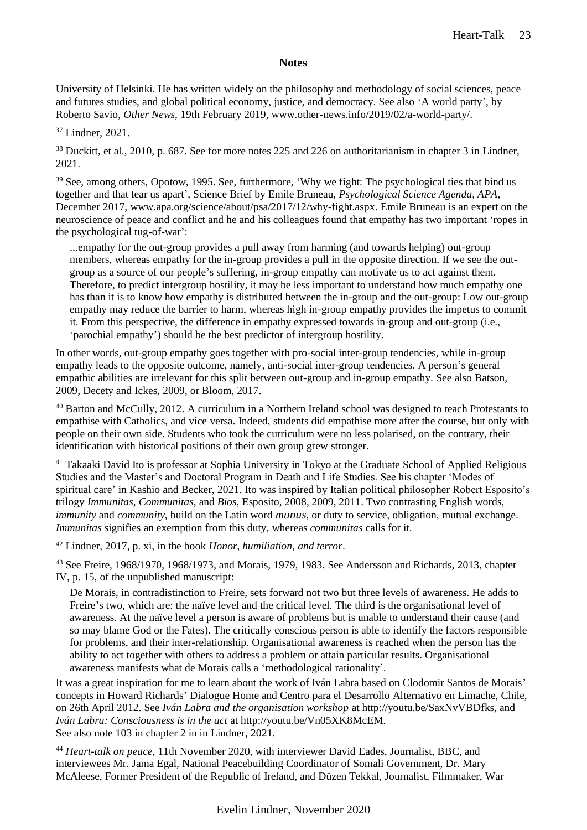University of Helsinki. He has written widely on the philosophy and methodology of social sciences, peace and futures studies, and global political economy, justice, and democracy. See also 'A world party', by Roberto Savio, *Other News*, 19th February 2019, www.other-news.info/2019/02/a-world-party/.

<sup>37</sup> Lindner, 2021.

<sup>38</sup> Duckitt, et al., 2010, p. 687. See for more notes 225 and 226 on authoritarianism in chapter 3 in Lindner, 2021.

<sup>39</sup> See, among others, Opotow, 1995. See, furthermore, 'Why we fight: The psychological ties that bind us together and that tear us apart', Science Brief by Emile Bruneau, *Psychological Science Agenda, APA*, December 2017, [www.apa.org/science/about/psa/2017/12/why-fight.aspx.](http://www.apa.org/science/about/psa/2017/12/why-fight.aspx) Emile Bruneau is an expert on the neuroscience of peace and conflict and he and his colleagues found that empathy has two important 'ropes in the psychological tug-of-war':

...empathy for the out-group provides a pull away from harming (and towards helping) out-group members, whereas empathy for the in-group provides a pull in the opposite direction. If we see the outgroup as a source of our people's suffering, in-group empathy can motivate us to act against them. Therefore, to predict intergroup hostility, it may be less important to understand how much empathy one has than it is to know how empathy is distributed between the in-group and the out-group: Low out-group empathy may reduce the barrier to harm, whereas high in-group empathy provides the impetus to commit it. From this perspective, the difference in empathy expressed towards in-group and out-group (i.e., 'parochial empathy') should be the best predictor of intergroup hostility.

In other words, out-group empathy goes together with pro-social inter-group tendencies, while in-group empathy leads to the opposite outcome, namely, anti-social inter-group tendencies. A person's general empathic abilities are irrelevant for this split between out-group and in-group empathy. See also Batson, 2009, Decety and Ickes, 2009, or Bloom, 2017.

<sup>40</sup> Barton and McCully, 2012. A curriculum in a Northern Ireland school was designed to teach Protestants to empathise with Catholics, and vice versa. Indeed, students did empathise more after the course, but only with people on their own side. Students who took the curriculum were no less polarised, on the contrary, their identification with historical positions of their own group grew stronger.

<sup>41</sup> Takaaki David Ito is professor at Sophia University in Tokyo at the Graduate School of Applied Religious Studies and the Master's and Doctoral Program in Death and Life Studies. See his chapter 'Modes of spiritual care' in Kashio and Becker, 2021. Ito was inspired by Italian political philosopher Robert Esposito's trilogy *Immunitas*, *Communitas*, and *Bios*, Esposito, 2008, 2009, 2011. Two contrasting English words, *immunity* and *community*, build on the Latin word *munus*, or duty to service, obligation, mutual exchange. *Immunitas* signifies an exemption from this duty, whereas *communitas* calls for it.

<sup>42</sup> Lindner, 2017, p. xi, in the book *Honor, humiliation, and terror*.

<sup>43</sup> See Freire, 1968/1970, 1968/1973, and Morais, 1979, 1983. See Andersson and Richards, 2013, chapter IV, p. 15, of the unpublished manuscript:

De Morais, in contradistinction to Freire, sets forward not two but three levels of awareness. He adds to Freire's two, which are: the naïve level and the critical level. The third is the organisational level of awareness. At the naïve level a person is aware of problems but is unable to understand their cause (and so may blame God or the Fates). The critically conscious person is able to identify the factors responsible for problems, and their inter-relationship. Organisational awareness is reached when the person has the ability to act together with others to address a problem or attain particular results. Organisational awareness manifests what de Morais calls a 'methodological rationality'.

It was a great inspiration for me to learn about the work of Iván Labra based on Clodomir Santos de Morais' concepts in Howard Richards' Dialogue Home and Centro para el Desarrollo Alternativo en Limache, Chile, on 26th April 2012. See *Iván Labra and the organisation workshop* at http://youtu.be/SaxNvVBDfks, and *Iván Labra: Consciousness is in the act* at http://youtu.be/Vn05XK8McEM. See also note 103 in chapter 2 in in Lindner, 2021.

<sup>44</sup> *Heart-talk on peace*, 11th November 2020, with interviewer David Eades, Journalist, BBC, and interviewees Mr. Jama Egal, National Peacebuilding Coordinator of Somali Government, Dr. Mary McAleese, Former President of the Republic of Ireland, and Düzen Tekkal, Journalist, Filmmaker, War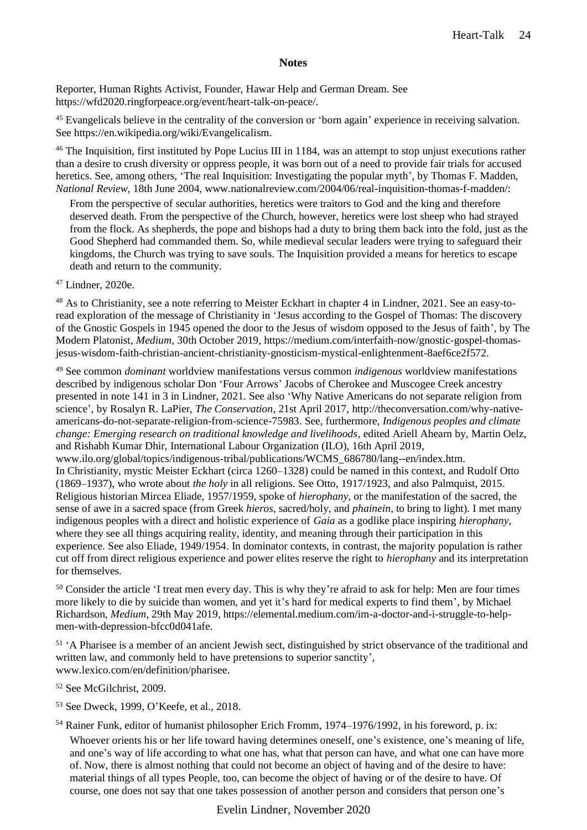Reporter, Human Rights Activist, Founder, Hawar Help and German Dream. See https://wfd2020.ringforpeace.org/event/heart-talk-on-peace/.

<sup>45</sup> Evangelicals believe in the centrality of the conversion or 'born again' experience in receiving salvation. See https://en.wikipedia.org/wiki/Evangelicalism.

<sup>46</sup> The Inquisition, first instituted by Pope Lucius III in 1184, was an attempt to stop unjust executions rather than a desire to crush diversity or oppress people, it was born out of a need to provide fair trials for accused heretics. See, among others, 'The real Inquisition: Investigating the popular myth', by Thomas F. Madden, *National Review*, 18th June 2004, www.nationalreview.com/2004/06/real-inquisition-thomas-f-madden/:

From the perspective of secular authorities, heretics were traitors to God and the king and therefore deserved death. From the perspective of the Church, however, heretics were lost sheep who had strayed from the flock. As shepherds, the pope and bishops had a duty to bring them back into the fold, just as the Good Shepherd had commanded them. So, while medieval secular leaders were trying to safeguard their kingdoms, the Church was trying to save souls. The Inquisition provided a means for heretics to escape death and return to the community.

<sup>47</sup> Lindner, 2020e.

<sup>48</sup> As to Christianity, see a note referring to Meister Eckhart in chapter 4 in Lindner, 2021. See an easy-toread exploration of the message of Christianity in 'Jesus according to the Gospel of Thomas: The discovery of the Gnostic Gospels in 1945 opened the door to the Jesus of wisdom opposed to the Jesus of faith', by The Modern Platonist, *Medium*, 30th October 2019, https://medium.com/interfaith-now/gnostic-gospel-thomasjesus-wisdom-faith-christian-ancient-christianity-gnosticism-mystical-enlightenment-8aef6ce2f572.

<sup>49</sup> See common *dominant* worldview manifestations versus common *indigenous* worldview manifestations described by indigenous scholar Don 'Four Arrows' Jacobs of Cherokee and Muscogee Creek ancestry presented in note 141 in 3 in Lindner, 2021. See also 'Why Native Americans do not separate religion from science', by Rosalyn R. LaPier, *The Conservation*, 21st April 2017, [http://theconversation.com/why-native](http://theconversation.com/why-native-americans-do-not-separate-religion-from-science-75983)[americans-do-not-separate-religion-from-science-75983.](http://theconversation.com/why-native-americans-do-not-separate-religion-from-science-75983) See, furthermore, *Indigenous peoples and climate change: Emerging research on traditional knowledge and livelihoods*, edited Ariell Ahearn by, Martin Oelz, and Rishabh Kumar Dhir, International Labour Organization (ILO), 16th April 2019, www.ilo.org/global/topics/indigenous-tribal/publications/WCMS\_686780/lang--en/index.htm. In Christianity, mystic Meister Eckhart (circa 1260–1328) could be named in this context, and Rudolf Otto (1869–1937), who wrote about *the holy* in all religions. See Otto, 1917/1923, and also Palmquist, 2015. Religious historian Mircea Eliade, 1957/1959, spoke of *hierophany*, or the manifestation of the sacred, the sense of awe in a sacred space (from Greek *hieros*, sacred/holy, and *phainein*, to bring to light). I met many indigenous peoples with a direct and holistic experience of *Gaia* as a godlike place inspiring *hierophany*, where they see all things acquiring reality, identity, and meaning through their participation in this experience. See also Eliade, 1949/1954. In dominator contexts, in contrast, the majority population is rather cut off from direct religious experience and power elites reserve the right to *hierophany* and its interpretation for themselves.

<sup>50</sup> Consider the article 'I treat men every day. This is why they're afraid to ask for help: Men are four times more likely to die by suicide than women, and yet it's hard for medical experts to find them', by Michael Richardson, *Medium*, 29th May 2019, https://elemental.medium.com/im-a-doctor-and-i-struggle-to-helpmen-with-depression-bfcc0d041afe.

<sup>51</sup> 'A Pharisee is a member of an ancient Jewish sect, distinguished by strict observance of the traditional and written law, and commonly held to have pretensions to superior sanctity', www.lexico.com/en/definition/pharisee.

<sup>52</sup> See McGilchrist, 2009.

<sup>53</sup> See Dweck, 1999, O'Keefe, et al., 2018.

<sup>54</sup> Rainer Funk, editor of humanist philosopher Erich Fromm, 1974–1976/1992, in his foreword, p. ix:

Whoever orients his or her life toward having determines oneself, one's existence, one's meaning of life, and one's way of life according to what one has, what that person can have, and what one can have more of. Now, there is almost nothing that could not become an object of having and of the desire to have: material things of all types People, too, can become the object of having or of the desire to have. Of course, one does not say that one takes possession of another person and considers that person one's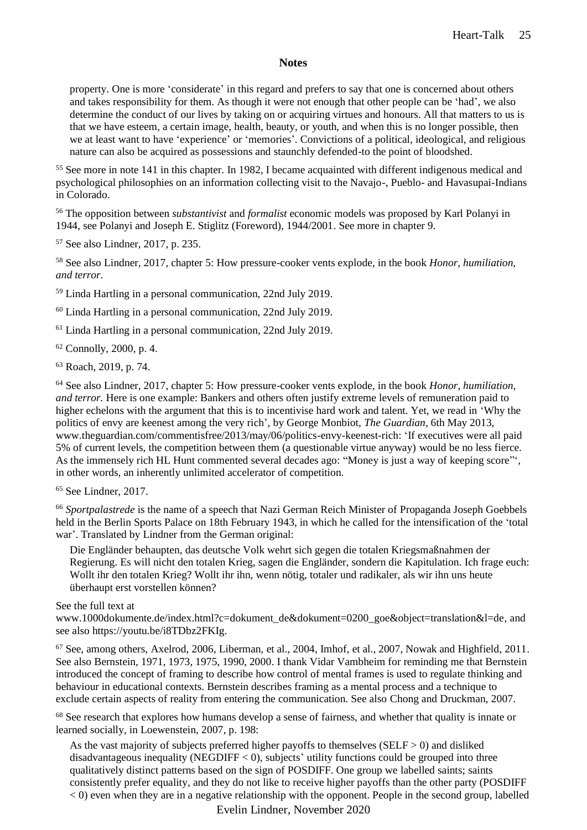property. One is more 'considerate' in this regard and prefers to say that one is concerned about others and takes responsibility for them. As though it were not enough that other people can be 'had', we also determine the conduct of our lives by taking on or acquiring virtues and honours. All that matters to us is that we have esteem, a certain image, health, beauty, or youth, and when this is no longer possible, then we at least want to have 'experience' or 'memories'. Convictions of a political, ideological, and religious nature can also be acquired as possessions and staunchly defended-to the point of bloodshed.

<sup>55</sup> See more in note 141 in this chapter. In 1982, I became acquainted with different indigenous medical and psychological philosophies on an information collecting visit to the Navajo-, Pueblo- and Havasupai-Indians in Colorado.

<sup>56</sup> The opposition between *substantivist* and *formalist* economic models was proposed by Karl Polanyi in 1944, see Polanyi and Joseph E. Stiglitz (Foreword), 1944/2001. See more in chapter 9.

<sup>57</sup> See also Lindner, 2017, p. 235.

<sup>58</sup> See also Lindner, 2017, chapter 5: How pressure-cooker vents explode, in the book *Honor, humiliation, and terror*.

<sup>59</sup> Linda Hartling in a personal communication, 22nd July 2019.

<sup>60</sup> Linda Hartling in a personal communication, 22nd July 2019.

<sup>61</sup> Linda Hartling in a personal communication, 22nd July 2019.

<sup>62</sup> Connolly, 2000, p. 4.

<sup>63</sup> Roach, 2019, p. 74.

<sup>64</sup> See also Lindner, 2017, chapter 5: How pressure-cooker vents explode, in the book *Honor, humiliation, and terror.* Here is one example: Bankers and others often justify extreme levels of remuneration paid to higher echelons with the argument that this is to incentivise hard work and talent. Yet, we read in 'Why the politics of envy are keenest among the very rich', by George Monbiot, *The Guardian*, 6th May 2013, www.theguardian.com/commentisfree/2013/may/06/politics-envy-keenest-rich: 'If executives were all paid 5% of current levels, the competition between them (a questionable virtue anyway) would be no less fierce. As the immensely rich HL Hunt commented several decades ago: "Money is just a way of keeping score"', in other words, an inherently unlimited accelerator of competition.

<sup>65</sup> See Lindner, 2017.

<sup>66</sup> *Sportpalastrede* is the name of a speech that Nazi German Reich Minister of Propaganda Joseph Goebbels held in the Berlin Sports Palace on 18th February 1943, in which he called for the intensification of the 'total war'. Translated by Lindner from the German original:

Die Engländer behaupten, das deutsche Volk wehrt sich gegen die totalen Kriegsmaßnahmen der Regierung. Es will nicht den totalen Krieg, sagen die Engländer, sondern die Kapitulation. Ich frage euch: Wollt ihr den totalen Krieg? Wollt ihr ihn, wenn nötig, totaler und radikaler, als wir ihn uns heute überhaupt erst vorstellen können?

See the full text at

[www.1000dokumente.de/index.html?c=dokument\\_de&dokument=0200\\_goe&object=translation&l=de,](http://www.1000dokumente.de/index.html?c=dokument_de&dokument=0200_goe&object=translation&l=de) and see also https://youtu.be/i8TDbz2FKIg.

<sup>67</sup> See, among others, Axelrod, 2006, Liberman, et al., 2004, Imhof, et al., 2007, Nowak and Highfield, 2011. See also Bernstein, 1971, 1973, 1975, 1990, 2000. I thank Vidar Vambheim for reminding me that Bernstein introduced the concept of framing to describe how control of mental frames is used to regulate thinking and behaviour in educational contexts. Bernstein describes framing as a mental process and a technique to exclude certain aspects of reality from entering the communication. See also Chong and Druckman, 2007.

<sup>68</sup> See research that explores how humans develop a sense of fairness, and whether that quality is innate or learned socially, in Loewenstein, 2007, p. 198:

As the vast majority of subjects preferred higher payoffs to themselves ( $SELF > 0$ ) and disliked disadvantageous inequality (NEGDIFF  $<$  0), subjects' utility functions could be grouped into three qualitatively distinct patterns based on the sign of POSDIFF. One group we labelled saints; saints consistently prefer equality, and they do not like to receive higher payoffs than the other party (POSDIFF  $<$  0) even when they are in a negative relationship with the opponent. People in the second group, labelled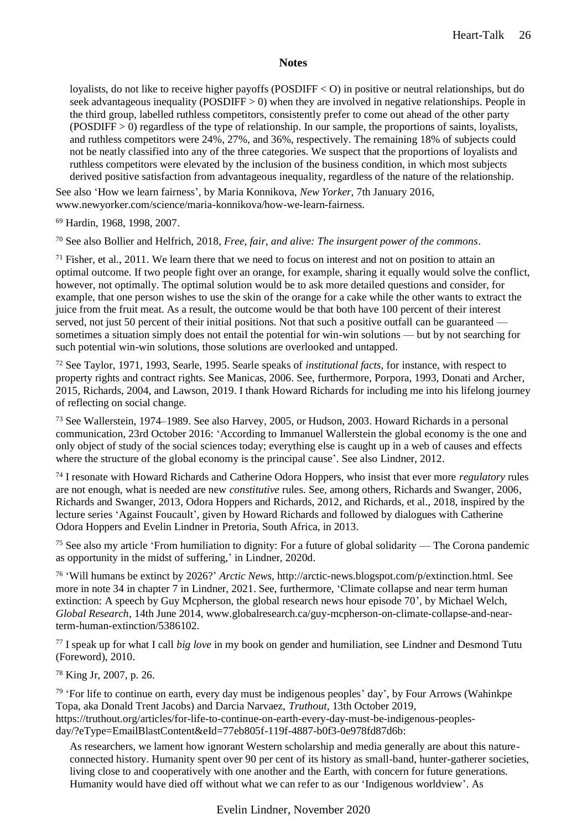loyalists, do not like to receive higher payoffs (POSDIFF < O) in positive or neutral relationships, but do seek advantageous inequality (POSDIFF  $> 0$ ) when they are involved in negative relationships. People in the third group, labelled ruthless competitors, consistently prefer to come out ahead of the other party  $(POSDIFF > 0)$  regardless of the type of relationship. In our sample, the proportions of saints, loyalists, and ruthless competitors were 24%, 27%, and 36%, respectively. The remaining 18% of subjects could not be neatly classified into any of the three categories. We suspect that the proportions of loyalists and ruthless competitors were elevated by the inclusion of the business condition, in which most subjects derived positive satisfaction from advantageous inequality, regardless of the nature of the relationship.

See also 'How we learn fairness', by Maria Konnikova, *New Yorker*, 7th January 2016, www.newyorker.com/science/maria-konnikova/how-we-learn-fairness.

<sup>69</sup> Hardin, 1968, 1998, 2007.

<sup>70</sup> See also Bollier and Helfrich, 2018, *Free, fair, and alive: The insurgent power of the commons*.

 $71$  Fisher, et al., 2011. We learn there that we need to focus on interest and not on position to attain an optimal outcome. If two people fight over an orange, for example, sharing it equally would solve the conflict, however, not optimally. The optimal solution would be to ask more detailed questions and consider, for example, that one person wishes to use the skin of the orange for a cake while the other wants to extract the juice from the fruit meat. As a result, the outcome would be that both have 100 percent of their interest served, not just 50 percent of their initial positions. Not that such a positive outfall can be guaranteed sometimes a situation simply does not entail the potential for win-win solutions — but by not searching for such potential win-win solutions, those solutions are overlooked and untapped.

<sup>72</sup> See Taylor, 1971, 1993, Searle, 1995. Searle speaks of *institutional facts*, for instance, with respect to property rights and contract rights. See Manicas, 2006. See, furthermore, Porpora, 1993, Donati and Archer, 2015, Richards, 2004, and Lawson, 2019. I thank Howard Richards for including me into his lifelong journey of reflecting on social change.

<sup>73</sup> See Wallerstein, 1974–1989. See also Harvey, 2005, or Hudson, 2003. Howard Richards in a personal communication, 23rd October 2016: 'According to Immanuel Wallerstein the global economy is the one and only object of study of the social sciences today; everything else is caught up in a web of causes and effects where the structure of the global economy is the principal cause'. See also Lindner, 2012.

<sup>74</sup> I resonate with Howard Richards and Catherine Odora Hoppers, who insist that ever more *regulatory* rules are not enough, what is needed are new *constitutive* rules. See, among others, Richards and Swanger, 2006, Richards and Swanger, 2013, Odora Hoppers and Richards, 2012, and Richards, et al., 2018, inspired by the lecture series 'Against Foucault', given by Howard Richards and followed by dialogues with Catherine Odora Hoppers and Evelin Lindner in Pretoria, South Africa, in 2013.

<sup>75</sup> See also my article 'From humiliation to dignity: For a future of global solidarity — The Corona pandemic as opportunity in the midst of suffering,' in Lindner, 2020d.

76 'Will humans be extinct by 2026?' *Arctic News*, http://arctic-news.blogspot.com/p/extinction.html. See more in note 34 in chapter 7 in Lindner, 2021. See, furthermore, 'Climate collapse and near term human extinction: A speech by Guy Mcpherson, the global research news hour episode 70', by Michael Welch, *Global Research*, 14th June 2014, www.globalresearch.ca/guy-mcpherson-on-climate-collapse-and-nearterm-human-extinction/5386102.

<sup>77</sup> I speak up for what I call *big love* in my book on gender and humiliation, see Lindner and Desmond Tutu (Foreword), 2010.

<sup>78</sup> King Jr, 2007, p. 26.

<sup>79</sup> 'For life to continue on earth, every day must be indigenous peoples' day', by Four Arrows (Wahinkpe) Topa, aka Donald Trent Jacobs) and Darcia Narvaez, *Truthout*, 13th October 2019, https://truthout.org/articles/for-life-to-continue-on-earth-every-day-must-be-indigenous-peoplesday/?eType=EmailBlastContent&eId=77eb805f-119f-4887-b0f3-0e978fd87d6b:

As researchers, we lament how ignorant Western scholarship and media generally are about this natureconnected history. Humanity spent over 90 per cent of its history as small-band, hunter-gatherer societies, living close to and cooperatively with one another and the Earth, with concern for future generations. Humanity would have died off without what we can refer to as our 'Indigenous worldview'. As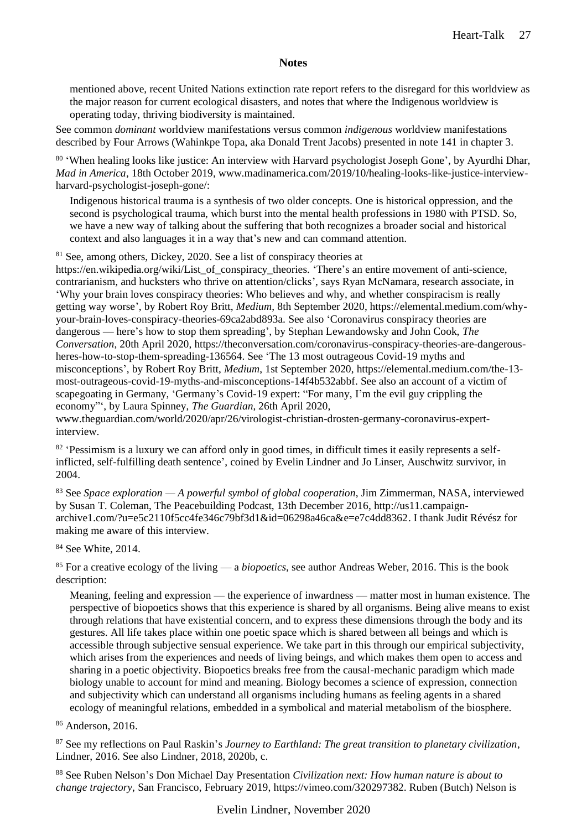mentioned above, recent United Nations extinction rate report refers to the disregard for this worldview as the major reason for current ecological disasters, and notes that where the Indigenous worldview is operating today, thriving biodiversity is maintained.

See common *dominant* worldview manifestations versus common *indigenous* worldview manifestations described by Four Arrows (Wahinkpe Topa, aka Donald Trent Jacobs) presented in note 141 in chapter 3.

80 'When healing looks like justice: An interview with Harvard psychologist Joseph Gone', by Ayurdhi Dhar, *Mad in America*, 18th October 2019, www.madinamerica.com/2019/10/healing-looks-like-justice-interviewharvard-psychologist-joseph-gone/:

Indigenous historical trauma is a synthesis of two older concepts. One is historical oppression, and the second is psychological trauma, which burst into the mental health professions in 1980 with PTSD. So, we have a new way of talking about the suffering that both recognizes a broader social and historical context and also languages it in a way that's new and can command attention.

<sup>81</sup> See, among others, Dickey, 2020. See a list of conspiracy theories at

https://en.wikipedia.org/wiki/List\_of\_conspiracy\_theories. 'There's an entire movement of anti-science, contrarianism, and hucksters who thrive on attention/clicks', says Ryan McNamara, research associate, in 'Why your brain loves conspiracy theories: Who believes and why, and whether conspiracism is really getting way worse', by Robert Roy Britt, *Medium*, 8th September 2020, https://elemental.medium.com/whyyour-brain-loves-conspiracy-theories-69ca2abd893a. See also 'Coronavirus conspiracy theories are dangerous — here's how to stop them spreading', by Stephan Lewandowsky and John Cook, *The Conversation*, 20th April 2020, https://theconversation.com/coronavirus-conspiracy-theories-are-dangerousheres-how-to-stop-them-spreading-136564. See 'The 13 most outrageous Covid-19 myths and misconceptions', by Robert Roy Britt, *Medium*, 1st September 2020, https://elemental.medium.com/the-13 most-outrageous-covid-19-myths-and-misconceptions-14f4b532abbf. See also an account of a victim of scapegoating in Germany, 'Germany's Covid-19 expert: "For many, I'm the evil guy crippling the economy"', by Laura Spinney, *The Guardian*, 26th April 2020,

www.theguardian.com/world/2020/apr/26/virologist-christian-drosten-germany-coronavirus-expertinterview.

<sup>82</sup> 'Pessimism is a luxury we can afford only in good times, in difficult times it easily represents a selfinflicted, self-fulfilling death sentence', coined by Evelin Lindner and Jo Linser, Auschwitz survivor, in 2004.

<sup>83</sup> See *Space exploration — A powerful symbol of global cooperation*, Jim Zimmerman, NASA, interviewed by Susan T. Coleman, The Peacebuilding Podcast, 13th December 2016, [http://us11.campaign](http://us11.campaign-archive1.com/?u=e5c2110f5cc4fe346c79bf3d1&id=06298a46ca&e=e7c4dd8362)[archive1.com/?u=e5c2110f5cc4fe346c79bf3d1&id=06298a46ca&e=e7c4dd8362.](http://us11.campaign-archive1.com/?u=e5c2110f5cc4fe346c79bf3d1&id=06298a46ca&e=e7c4dd8362) I thank Judit Révész for making me aware of this interview.

<sup>84</sup> See White, 2014.

<sup>85</sup> For a creative ecology of the living — a *biopoetics*, see author Andreas Weber, 2016. This is the book description:

Meaning, feeling and expression — the experience of inwardness — matter most in human existence. The perspective of biopoetics shows that this experience is shared by all organisms. Being alive means to exist through relations that have existential concern, and to express these dimensions through the body and its gestures. All life takes place within one poetic space which is shared between all beings and which is accessible through subjective sensual experience. We take part in this through our empirical subjectivity, which arises from the experiences and needs of living beings, and which makes them open to access and sharing in a poetic objectivity. Biopoetics breaks free from the causal-mechanic paradigm which made biology unable to account for mind and meaning. Biology becomes a science of expression, connection and subjectivity which can understand all organisms including humans as feeling agents in a shared ecology of meaningful relations, embedded in a symbolical and material metabolism of the biosphere.

<sup>86</sup> Anderson, 2016.

<sup>87</sup> See my reflections on Paul Raskin's *Journey to Earthland: The great transition to planetary civilization*, Lindner, 2016. See also Lindner, 2018, 2020b, c.

<sup>88</sup> See Ruben Nelson's Don Michael Day Presentation *Civilization next: How human nature is about to change trajectory*, San Francisco, February 2019, https://vimeo.com/320297382. Ruben (Butch) Nelson is